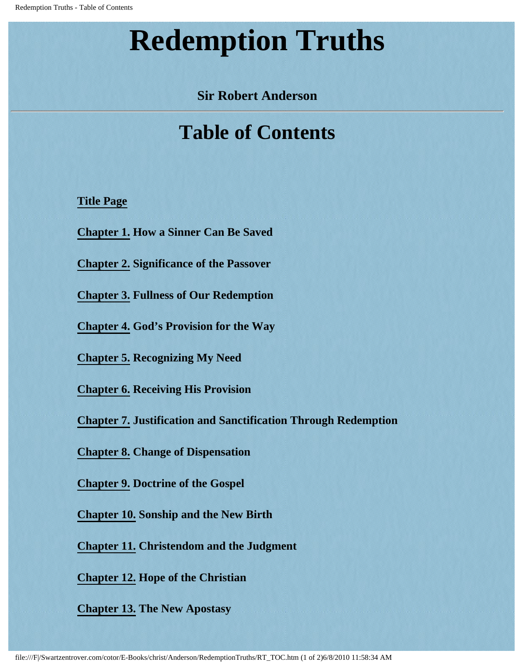#### **Sir Robert Anderson**

### **Table of Contents**

**[Title Page](#page-2-0)**

**[Chapter 1.](#page-3-0) How a Sinner Can Be Saved** 

**[Chapter 2.](#page-6-0) Significance of the Passover** 

**[Chapter 3.](#page-10-0) Fullness of Our Redemption**

**[Chapter 4.](#page-14-0) God's Provision for the Way** 

**[Chapter 5.](#page-18-0) Recognizing My Need** 

**[Chapter 6.](#page-20-0) Receiving His Provision** 

**[Chapter 7.](#page-23-0) Justification and Sanctification Through Redemption** 

**[Chapter 8.](#page-27-0) Change of Dispensation** 

**[Chapter 9.](#page-31-0) Doctrine of the Gospel** 

**[Chapter 10.](#page-36-0) Sonship and the New Birth** 

**[Chapter 11.](#page-40-0) Christendom and the Judgment** 

**[Chapter 12.](#page-44-0) Hope of the Christian** 

**[Chapter 13.](#page-48-0) The New Apostasy**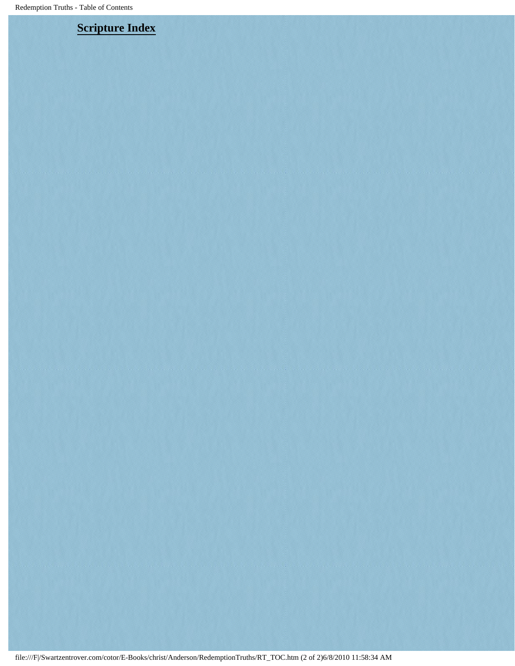### **[Scripture Index](#page-53-0)**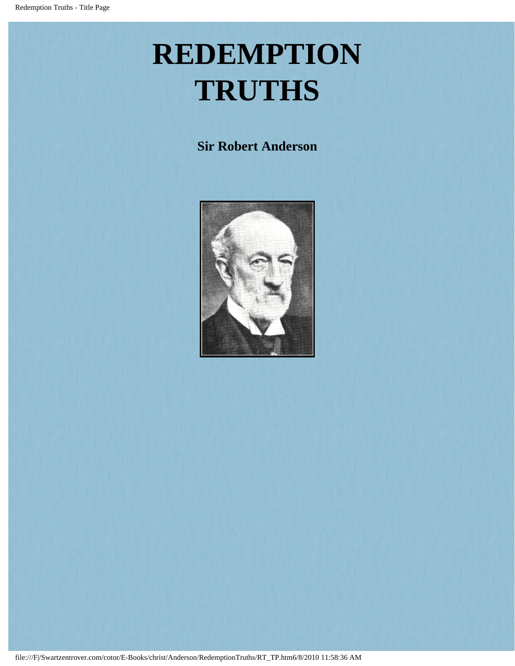# <span id="page-2-0"></span>**REDEMPTION TRUTHS**

### **Sir Robert Anderson**

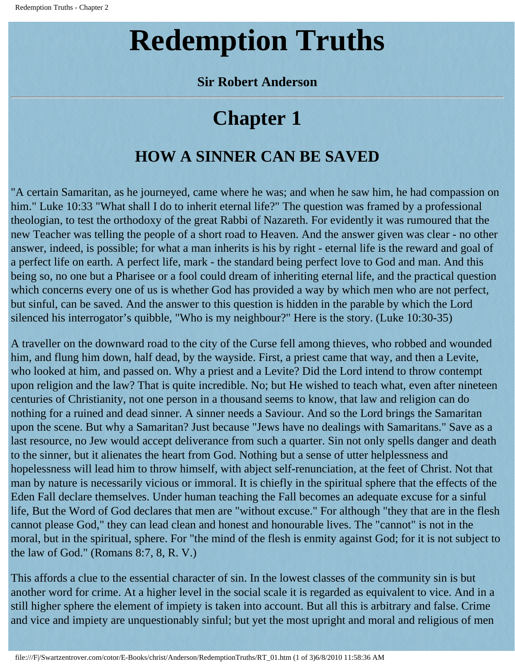#### **Sir Robert Anderson**

## **Chapter 1**

### **HOW A SINNER CAN BE SAVED**

<span id="page-3-0"></span>"A certain Samaritan, as he journeyed, came where he was; and when he saw him, he had compassion on him." Luke 10:33 "What shall I do to inherit eternal life?" The question was framed by a professional theologian, to test the orthodoxy of the great Rabbi of Nazareth. For evidently it was rumoured that the new Teacher was telling the people of a short road to Heaven. And the answer given was clear - no other answer, indeed, is possible; for what a man inherits is his by right - eternal life is the reward and goal of a perfect life on earth. A perfect life, mark - the standard being perfect love to God and man. And this being so, no one but a Pharisee or a fool could dream of inheriting eternal life, and the practical question which concerns every one of us is whether God has provided a way by which men who are not perfect, but sinful, can be saved. And the answer to this question is hidden in the parable by which the Lord silenced his interrogator's quibble, "Who is my neighbour?" Here is the story. (Luke 10:30-35)

A traveller on the downward road to the city of the Curse fell among thieves, who robbed and wounded him, and flung him down, half dead, by the wayside. First, a priest came that way, and then a Levite, who looked at him, and passed on. Why a priest and a Levite? Did the Lord intend to throw contempt upon religion and the law? That is quite incredible. No; but He wished to teach what, even after nineteen centuries of Christianity, not one person in a thousand seems to know, that law and religion can do nothing for a ruined and dead sinner. A sinner needs a Saviour. And so the Lord brings the Samaritan upon the scene. But why a Samaritan? Just because "Jews have no dealings with Samaritans." Save as a last resource, no Jew would accept deliverance from such a quarter. Sin not only spells danger and death to the sinner, but it alienates the heart from God. Nothing but a sense of utter helplessness and hopelessness will lead him to throw himself, with abject self-renunciation, at the feet of Christ. Not that man by nature is necessarily vicious or immoral. It is chiefly in the spiritual sphere that the effects of the Eden Fall declare themselves. Under human teaching the Fall becomes an adequate excuse for a sinful life, But the Word of God declares that men are "without excuse." For although "they that are in the flesh cannot please God," they can lead clean and honest and honourable lives. The "cannot" is not in the moral, but in the spiritual, sphere. For "the mind of the flesh is enmity against God; for it is not subject to the law of God." (Romans 8:7, 8, R. V.)

This affords a clue to the essential character of sin. In the lowest classes of the community sin is but another word for crime. At a higher level in the social scale it is regarded as equivalent to vice. And in a still higher sphere the element of impiety is taken into account. But all this is arbitrary and false. Crime and vice and impiety are unquestionably sinful; but yet the most upright and moral and religious of men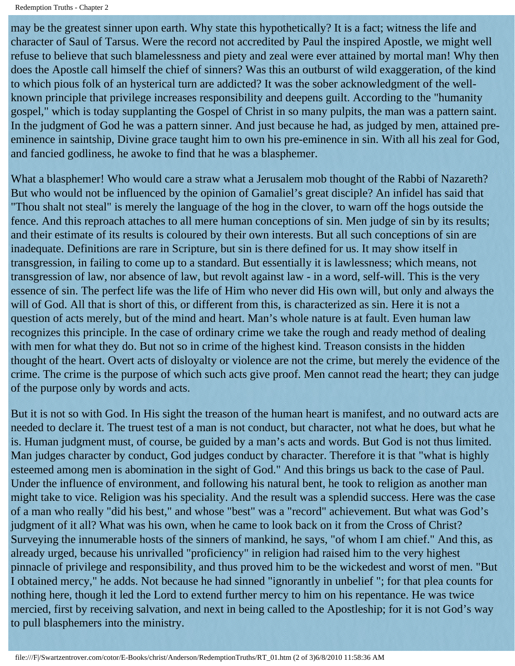may be the greatest sinner upon earth. Why state this hypothetically? It is a fact; witness the life and character of Saul of Tarsus. Were the record not accredited by Paul the inspired Apostle, we might well refuse to believe that such blamelessness and piety and zeal were ever attained by mortal man! Why then does the Apostle call himself the chief of sinners? Was this an outburst of wild exaggeration, of the kind to which pious folk of an hysterical turn are addicted? It was the sober acknowledgment of the wellknown principle that privilege increases responsibility and deepens guilt. According to the "humanity gospel," which is today supplanting the Gospel of Christ in so many pulpits, the man was a pattern saint. In the judgment of God he was a pattern sinner. And just because he had, as judged by men, attained preeminence in saintship, Divine grace taught him to own his pre-eminence in sin. With all his zeal for God, and fancied godliness, he awoke to find that he was a blasphemer.

What a blasphemer! Who would care a straw what a Jerusalem mob thought of the Rabbi of Nazareth? But who would not be influenced by the opinion of Gamaliel's great disciple? An infidel has said that "Thou shalt not steal" is merely the language of the hog in the clover, to warn off the hogs outside the fence. And this reproach attaches to all mere human conceptions of sin. Men judge of sin by its results; and their estimate of its results is coloured by their own interests. But all such conceptions of sin are inadequate. Definitions are rare in Scripture, but sin is there defined for us. It may show itself in transgression, in failing to come up to a standard. But essentially it is lawlessness; which means, not transgression of law, nor absence of law, but revolt against law - in a word, self-will. This is the very essence of sin. The perfect life was the life of Him who never did His own will, but only and always the will of God. All that is short of this, or different from this, is characterized as sin. Here it is not a question of acts merely, but of the mind and heart. Man's whole nature is at fault. Even human law recognizes this principle. In the case of ordinary crime we take the rough and ready method of dealing with men for what they do. But not so in crime of the highest kind. Treason consists in the hidden thought of the heart. Overt acts of disloyalty or violence are not the crime, but merely the evidence of the crime. The crime is the purpose of which such acts give proof. Men cannot read the heart; they can judge of the purpose only by words and acts.

But it is not so with God. In His sight the treason of the human heart is manifest, and no outward acts are needed to declare it. The truest test of a man is not conduct, but character, not what he does, but what he is. Human judgment must, of course, be guided by a man's acts and words. But God is not thus limited. Man judges character by conduct, God judges conduct by character. Therefore it is that "what is highly esteemed among men is abomination in the sight of God." And this brings us back to the case of Paul. Under the influence of environment, and following his natural bent, he took to religion as another man might take to vice. Religion was his speciality. And the result was a splendid success. Here was the case of a man who really "did his best," and whose "best" was a "record" achievement. But what was God's judgment of it all? What was his own, when he came to look back on it from the Cross of Christ? Surveying the innumerable hosts of the sinners of mankind, he says, "of whom I am chief." And this, as already urged, because his unrivalled "proficiency" in religion had raised him to the very highest pinnacle of privilege and responsibility, and thus proved him to be the wickedest and worst of men. "But I obtained mercy," he adds. Not because he had sinned "ignorantly in unbelief "; for that plea counts for nothing here, though it led the Lord to extend further mercy to him on his repentance. He was twice mercied, first by receiving salvation, and next in being called to the Apostleship; for it is not God's way to pull blasphemers into the ministry.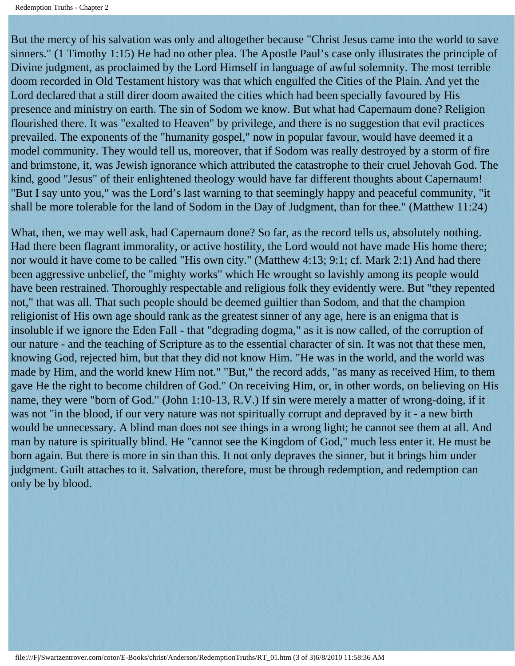But the mercy of his salvation was only and altogether because "Christ Jesus came into the world to save sinners." (1 Timothy 1:15) He had no other plea. The Apostle Paul's case only illustrates the principle of Divine judgment, as proclaimed by the Lord Himself in language of awful solemnity. The most terrible doom recorded in Old Testament history was that which engulfed the Cities of the Plain. And yet the Lord declared that a still direr doom awaited the cities which had been specially favoured by His presence and ministry on earth. The sin of Sodom we know. But what had Capernaum done? Religion flourished there. It was "exalted to Heaven" by privilege, and there is no suggestion that evil practices prevailed. The exponents of the "humanity gospel," now in popular favour, would have deemed it a model community. They would tell us, moreover, that if Sodom was really destroyed by a storm of fire and brimstone, it, was Jewish ignorance which attributed the catastrophe to their cruel Jehovah God. The kind, good "Jesus" of their enlightened theology would have far different thoughts about Capernaum! "But I say unto you," was the Lord's last warning to that seemingly happy and peaceful community, "it shall be more tolerable for the land of Sodom in the Day of Judgment, than for thee." (Matthew 11:24)

What, then, we may well ask, had Capernaum done? So far, as the record tells us, absolutely nothing. Had there been flagrant immorality, or active hostility, the Lord would not have made His home there; nor would it have come to be called "His own city." (Matthew 4:13; 9:1; cf. Mark 2:1) And had there been aggressive unbelief, the "mighty works" which He wrought so lavishly among its people would have been restrained. Thoroughly respectable and religious folk they evidently were. But "they repented not," that was all. That such people should be deemed guiltier than Sodom, and that the champion religionist of His own age should rank as the greatest sinner of any age, here is an enigma that is insoluble if we ignore the Eden Fall - that "degrading dogma," as it is now called, of the corruption of our nature - and the teaching of Scripture as to the essential character of sin. It was not that these men, knowing God, rejected him, but that they did not know Him. "He was in the world, and the world was made by Him, and the world knew Him not." "But," the record adds, "as many as received Him, to them gave He the right to become children of God." On receiving Him, or, in other words, on believing on His name, they were "born of God." (John 1:10-13, R.V.) If sin were merely a matter of wrong-doing, if it was not "in the blood, if our very nature was not spiritually corrupt and depraved by it - a new birth would be unnecessary. A blind man does not see things in a wrong light; he cannot see them at all. And man by nature is spiritually blind. He "cannot see the Kingdom of God," much less enter it. He must be born again. But there is more in sin than this. It not only depraves the sinner, but it brings him under judgment. Guilt attaches to it. Salvation, therefore, must be through redemption, and redemption can only be by blood.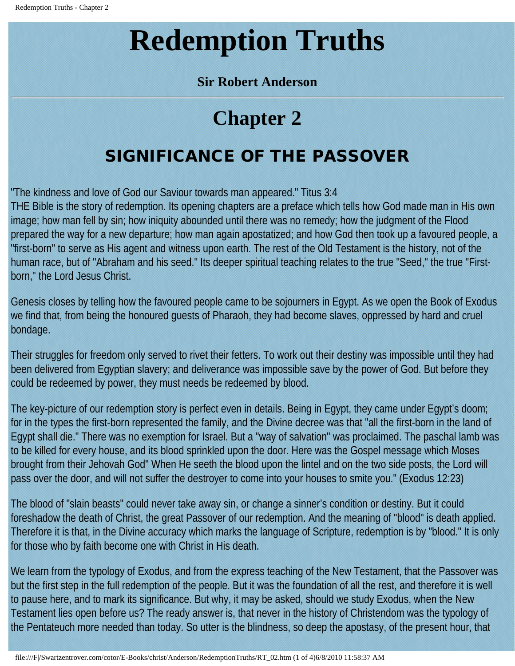#### **Sir Robert Anderson**

## **Chapter 2**

### <span id="page-6-0"></span>SIGNIFICANCE OF THE PASSOVER

"The kindness and love of God our Saviour towards man appeared." Titus 3:4

THE Bible is the story of redemption. Its opening chapters are a preface which tells how God made man in His own image; how man fell by sin; how iniquity abounded until there was no remedy; how the judgment of the Flood prepared the way for a new departure; how man again apostatized; and how God then took up a favoured people, a "first-born" to serve as His agent and witness upon earth. The rest of the Old Testament is the history, not of the human race, but of "Abraham and his seed." Its deeper spiritual teaching relates to the true "Seed," the true "Firstborn," the Lord Jesus Christ.

Genesis closes by telling how the favoured people came to be sojourners in Egypt. As we open the Book of Exodus we find that, from being the honoured guests of Pharaoh, they had become slaves, oppressed by hard and cruel bondage.

Their struggles for freedom only served to rivet their fetters. To work out their destiny was impossible until they had been delivered from Egyptian slavery; and deliverance was impossible save by the power of God. But before they could be redeemed by power, they must needs be redeemed by blood.

The key-picture of our redemption story is perfect even in details. Being in Egypt, they came under Egypt's doom; for in the types the first-born represented the family, and the Divine decree was that "all the first-born in the land of Egypt shall die." There was no exemption for Israel. But a "way of salvation" was proclaimed. The paschal lamb was to be killed for every house, and its blood sprinkled upon the door. Here was the Gospel message which Moses brought from their Jehovah God" When He seeth the blood upon the lintel and on the two side posts, the Lord will pass over the door, and will not suffer the destroyer to come into your houses to smite you." (Exodus 12:23)

The blood of "slain beasts" could never take away sin, or change a sinner's condition or destiny. But it could foreshadow the death of Christ, the great Passover of our redemption. And the meaning of "blood" is death applied. Therefore it is that, in the Divine accuracy which marks the language of Scripture, redemption is by "blood." It is only for those who by faith become one with Christ in His death.

We learn from the typology of Exodus, and from the express teaching of the New Testament, that the Passover was but the first step in the full redemption of the people. But it was the foundation of all the rest, and therefore it is well to pause here, and to mark its significance. But why, it may be asked, should we study Exodus, when the New Testament lies open before us? The ready answer is, that never in the history of Christendom was the typology of the Pentateuch more needed than today. So utter is the blindness, so deep the apostasy, of the present hour, that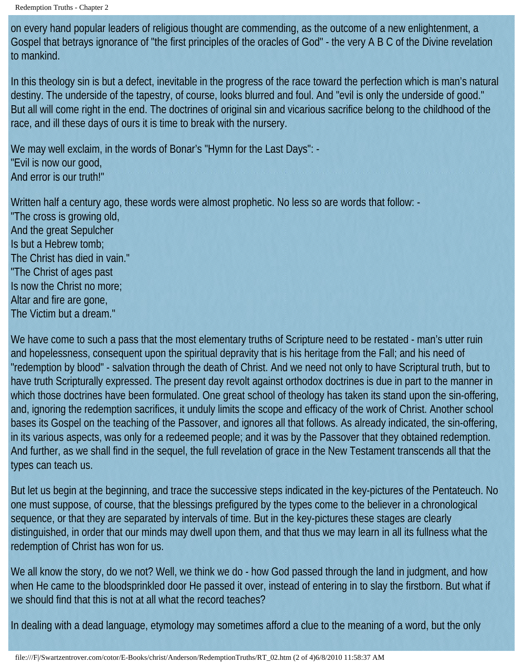on every hand popular leaders of religious thought are commending, as the outcome of a new enlightenment, a Gospel that betrays ignorance of "the first principles of the oracles of God" - the very A B C of the Divine revelation to mankind.

In this theology sin is but a defect, inevitable in the progress of the race toward the perfection which is man's natural destiny. The underside of the tapestry, of course, looks blurred and foul. And "evil is only the underside of good." But all will come right in the end. The doctrines of original sin and vicarious sacrifice belong to the childhood of the race, and ill these days of ours it is time to break with the nursery.

We may well exclaim, in the words of Bonar's "Hymn for the Last Days": - "Evil is now our good, And error is our truth!"

Written half a century ago, these words were almost prophetic. No less so are words that follow: -

"The cross is growing old, And the great Sepulcher Is but a Hebrew tomb; The Christ has died in vain." "The Christ of ages past Is now the Christ no more; Altar and fire are gone, The Victim but a dream."

We have come to such a pass that the most elementary truths of Scripture need to be restated - man's utter ruin and hopelessness, consequent upon the spiritual depravity that is his heritage from the Fall; and his need of "redemption by blood" - salvation through the death of Christ. And we need not only to have Scriptural truth, but to have truth Scripturally expressed. The present day revolt against orthodox doctrines is due in part to the manner in which those doctrines have been formulated. One great school of theology has taken its stand upon the sin-offering, and, ignoring the redemption sacrifices, it unduly limits the scope and efficacy of the work of Christ. Another school bases its Gospel on the teaching of the Passover, and ignores all that follows. As already indicated, the sin-offering, in its various aspects, was only for a redeemed people; and it was by the Passover that they obtained redemption. And further, as we shall find in the sequel, the full revelation of grace in the New Testament transcends all that the types can teach us.

But let us begin at the beginning, and trace the successive steps indicated in the key-pictures of the Pentateuch. No one must suppose, of course, that the blessings prefigured by the types come to the believer in a chronological sequence, or that they are separated by intervals of time. But in the key-pictures these stages are clearly distinguished, in order that our minds may dwell upon them, and that thus we may learn in all its fullness what the redemption of Christ has won for us.

We all know the story, do we not? Well, we think we do - how God passed through the land in judgment, and how when He came to the bloodsprinkled door He passed it over, instead of entering in to slay the firstborn. But what if we should find that this is not at all what the record teaches?

In dealing with a dead language, etymology may sometimes afford a clue to the meaning of a word, but the only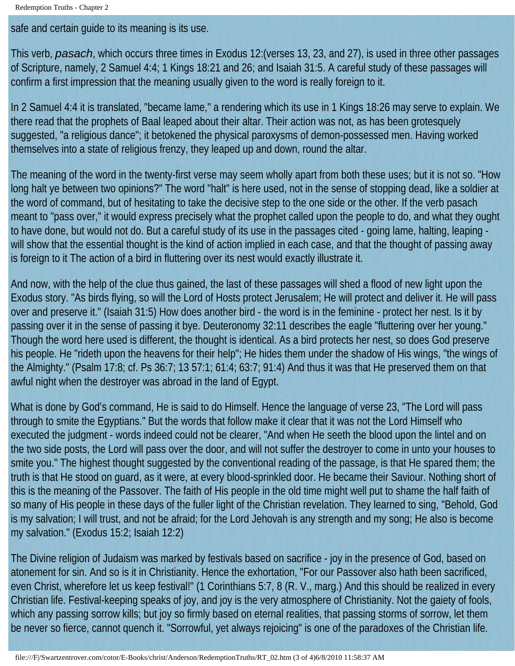safe and certain guide to its meaning is its use.

This verb, *pasach*, which occurs three times in Exodus 12:(verses 13, 23, and 27), is used in three other passages of Scripture, namely, 2 Samuel 4:4; 1 Kings 18:21 and 26; and Isaiah 31:5. A careful study of these passages will confirm a first impression that the meaning usually given to the word is really foreign to it.

In 2 Samuel 4:4 it is translated, "became lame," a rendering which its use in 1 Kings 18:26 may serve to explain. We there read that the prophets of Baal leaped about their altar. Their action was not, as has been grotesquely suggested, "a religious dance"; it betokened the physical paroxysms of demon-possessed men. Having worked themselves into a state of religious frenzy, they leaped up and down, round the altar.

The meaning of the word in the twenty-first verse may seem wholly apart from both these uses; but it is not so. "How long halt ye between two opinions?" The word "halt" is here used, not in the sense of stopping dead, like a soldier at the word of command, but of hesitating to take the decisive step to the one side or the other. If the verb pasach meant to "pass over," it would express precisely what the prophet called upon the people to do, and what they ought to have done, but would not do. But a careful study of its use in the passages cited - going lame, halting, leaping will show that the essential thought is the kind of action implied in each case, and that the thought of passing away is foreign to it The action of a bird in fluttering over its nest would exactly illustrate it.

And now, with the help of the clue thus gained, the last of these passages will shed a flood of new light upon the Exodus story. "As birds flying, so will the Lord of Hosts protect Jerusalem; He will protect and deliver it. He will pass over and preserve it." (Isaiah 31:5) How does another bird - the word is in the feminine - protect her nest. Is it by passing over it in the sense of passing it bye. Deuteronomy 32:11 describes the eagle "fluttering over her young." Though the word here used is different, the thought is identical. As a bird protects her nest, so does God preserve his people. He "rideth upon the heavens for their help"; He hides them under the shadow of His wings, "the wings of the Almighty." (Psalm 17:8; cf. Ps 36:7; 13 57:1; 61:4; 63:7; 91:4) And thus it was that He preserved them on that awful night when the destroyer was abroad in the land of Egypt.

What is done by God's command, He is said to do Himself. Hence the language of verse 23, "The Lord will pass through to smite the Egyptians." But the words that follow make it clear that it was not the Lord Himself who executed the judgment - words indeed could not be clearer, "And when He seeth the blood upon the lintel and on the two side posts, the Lord will pass over the door, and will not suffer the destroyer to come in unto your houses to smite you." The highest thought suggested by the conventional reading of the passage, is that He spared them; the truth is that He stood on guard, as it were, at every blood-sprinkled door. He became their Saviour. Nothing short of this is the meaning of the Passover. The faith of His people in the old time might well put to shame the half faith of so many of His people in these days of the fuller light of the Christian revelation. They learned to sing, "Behold, God is my salvation; I will trust, and not be afraid; for the Lord Jehovah is any strength and my song; He also is become my salvation." (Exodus 15:2; Isaiah 12:2)

The Divine religion of Judaism was marked by festivals based on sacrifice - joy in the presence of God, based on atonement for sin. And so is it in Christianity. Hence the exhortation, "For our Passover also hath been sacrificed, even Christ, wherefore let us keep festival!" (1 Corinthians 5:7, 8 (R. V., marg.) And this should be realized in every Christian life. Festival-keeping speaks of joy, and joy is the very atmosphere of Christianity. Not the gaiety of fools, which any passing sorrow kills; but joy so firmly based on eternal realities, that passing storms of sorrow, let them be never so fierce, cannot quench it. "Sorrowful, yet always rejoicing" is one of the paradoxes of the Christian life.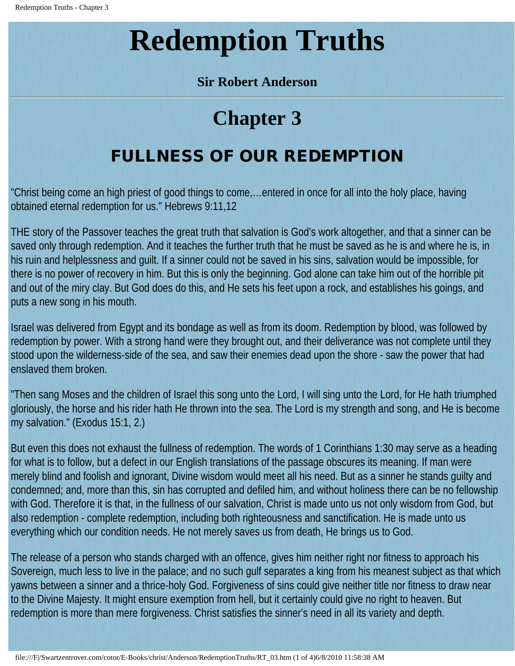### **Sir Robert Anderson**

## **Chapter 3**

## <span id="page-10-0"></span>FULLNESS OF OUR REDEMPTION

"Christ being come an high priest of good things to come,…entered in once for all into the holy place, having obtained eternal redemption for us." Hebrews 9:11,12

THE story of the Passover teaches the great truth that salvation is God's work altogether, and that a sinner can be saved only through redemption. And it teaches the further truth that he must be saved as he is and where he is, in his ruin and helplessness and guilt. If a sinner could not be saved in his sins, salvation would be impossible, for there is no power of recovery in him. But this is only the beginning. God alone can take him out of the horrible pit and out of the miry clay. But God does do this, and He sets his feet upon a rock, and establishes his goings, and puts a new song in his mouth.

Israel was delivered from Egypt and its bondage as well as from its doom. Redemption by blood, was followed by redemption by power. With a strong hand were they brought out, and their deliverance was not complete until they stood upon the wilderness-side of the sea, and saw their enemies dead upon the shore - saw the power that had enslaved them broken.

"Then sang Moses and the children of Israel this song unto the Lord, I will sing unto the Lord, for He hath triumphed gloriously, the horse and his rider hath He thrown into the sea. The Lord is my strength and song, and He is become my salvation." (Exodus 15:1, 2.)

But even this does not exhaust the fullness of redemption. The words of 1 Corinthians 1:30 may serve as a heading for what is to follow, but a defect in our English translations of the passage obscures its meaning. If man were merely blind and foolish and ignorant, Divine wisdom would meet all his need. But as a sinner he stands guilty and condemned; and, more than this, sin has corrupted and defiled him, and without holiness there can be no fellowship with God. Therefore it is that, in the fullness of our salvation, Christ is made unto us not only wisdom from God, but also redemption - complete redemption, including both righteousness and sanctification. He is made unto us everything which our condition needs. He not merely saves us from death, He brings us to God.

The release of a person who stands charged with an offence, gives him neither right nor fitness to approach his Sovereign, much less to live in the palace; and no such gulf separates a king from his meanest subject as that which yawns between a sinner and a thrice-holy God. Forgiveness of sins could give neither title nor fitness to draw near to the Divine Majesty. It might ensure exemption from hell, but it certainly could give no right to heaven. But redemption is more than mere forgiveness. Christ satisfies the sinner's need in all its variety and depth.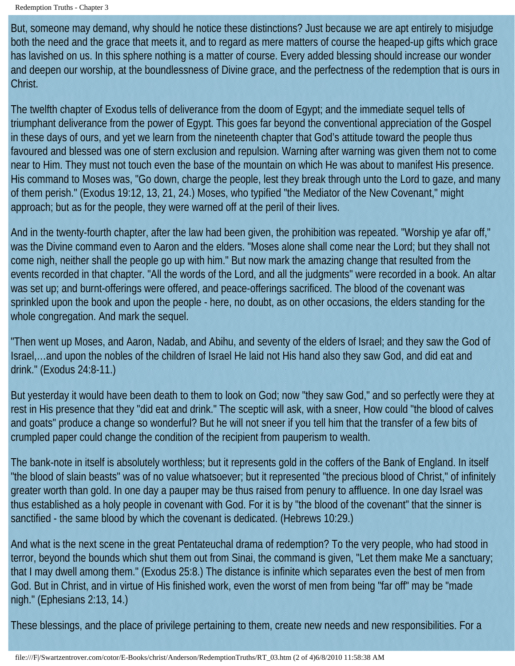But, someone may demand, why should he notice these distinctions? Just because we are apt entirely to misjudge both the need and the grace that meets it, and to regard as mere matters of course the heaped-up gifts which grace has lavished on us. In this sphere nothing is a matter of course. Every added blessing should increase our wonder and deepen our worship, at the boundlessness of Divine grace, and the perfectness of the redemption that is ours in Christ.

The twelfth chapter of Exodus tells of deliverance from the doom of Egypt; and the immediate sequel tells of triumphant deliverance from the power of Egypt. This goes far beyond the conventional appreciation of the Gospel in these days of ours, and yet we learn from the nineteenth chapter that God's attitude toward the people thus favoured and blessed was one of stern exclusion and repulsion. Warning after warning was given them not to come near to Him. They must not touch even the base of the mountain on which He was about to manifest His presence. His command to Moses was, "Go down, charge the people, lest they break through unto the Lord to gaze, and many of them perish." (Exodus 19:12, 13, 21, 24.) Moses, who typified "the Mediator of the New Covenant," might approach; but as for the people, they were warned off at the peril of their lives.

And in the twenty-fourth chapter, after the law had been given, the prohibition was repeated. "Worship ye afar off," was the Divine command even to Aaron and the elders. "Moses alone shall come near the Lord; but they shall not come nigh, neither shall the people go up with him." But now mark the amazing change that resulted from the events recorded in that chapter. "All the words of the Lord, and all the judgments" were recorded in a book. An altar was set up; and burnt-offerings were offered, and peace-offerings sacrificed. The blood of the covenant was sprinkled upon the book and upon the people - here, no doubt, as on other occasions, the elders standing for the whole congregation. And mark the sequel.

"Then went up Moses, and Aaron, Nadab, and Abihu, and seventy of the elders of Israel; and they saw the God of Israel,…and upon the nobles of the children of Israel He laid not His hand also they saw God, and did eat and drink." (Exodus 24:8-11.)

But yesterday it would have been death to them to look on God; now "they saw God," and so perfectly were they at rest in His presence that they "did eat and drink." The sceptic will ask, with a sneer, How could "the blood of calves and goats" produce a change so wonderful? But he will not sneer if you tell him that the transfer of a few bits of crumpled paper could change the condition of the recipient from pauperism to wealth.

The bank-note in itself is absolutely worthless; but it represents gold in the coffers of the Bank of England. In itself "the blood of slain beasts" was of no value whatsoever; but it represented "the precious blood of Christ," of infinitely greater worth than gold. In one day a pauper may be thus raised from penury to affluence. In one day Israel was thus established as a holy people in covenant with God. For it is by "the blood of the covenant" that the sinner is sanctified - the same blood by which the covenant is dedicated. (Hebrews 10:29.)

And what is the next scene in the great Pentateuchal drama of redemption? To the very people, who had stood in terror, beyond the bounds which shut them out from Sinai, the command is given, "Let them make Me a sanctuary; that I may dwell among them." (Exodus 25:8.) The distance is infinite which separates even the best of men from God. But in Christ, and in virtue of His finished work, even the worst of men from being "far off" may be "made nigh." (Ephesians 2:13, 14.)

These blessings, and the place of privilege pertaining to them, create new needs and new responsibilities. For a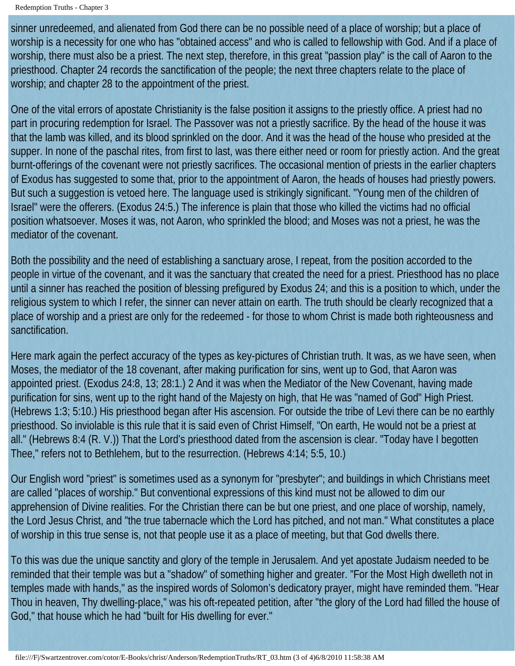sinner unredeemed, and alienated from God there can be no possible need of a place of worship; but a place of worship is a necessity for one who has "obtained access" and who is called to fellowship with God. And if a place of worship, there must also be a priest. The next step, therefore, in this great "passion play" is the call of Aaron to the priesthood. Chapter 24 records the sanctification of the people; the next three chapters relate to the place of worship; and chapter 28 to the appointment of the priest.

One of the vital errors of apostate Christianity is the false position it assigns to the priestly office. A priest had no part in procuring redemption for Israel. The Passover was not a priestly sacrifice. By the head of the house it was that the lamb was killed, and its blood sprinkled on the door. And it was the head of the house who presided at the supper. In none of the paschal rites, from first to last, was there either need or room for priestly action. And the great burnt-offerings of the covenant were not priestly sacrifices. The occasional mention of priests in the earlier chapters of Exodus has suggested to some that, prior to the appointment of Aaron, the heads of houses had priestly powers. But such a suggestion is vetoed here. The language used is strikingly significant. "Young men of the children of Israel" were the offerers. (Exodus 24:5.) The inference is plain that those who killed the victims had no official position whatsoever. Moses it was, not Aaron, who sprinkled the blood; and Moses was not a priest, he was the mediator of the covenant.

Both the possibility and the need of establishing a sanctuary arose, I repeat, from the position accorded to the people in virtue of the covenant, and it was the sanctuary that created the need for a priest. Priesthood has no place until a sinner has reached the position of blessing prefigured by Exodus 24; and this is a position to which, under the religious system to which I refer, the sinner can never attain on earth. The truth should be clearly recognized that a place of worship and a priest are only for the redeemed - for those to whom Christ is made both righteousness and sanctification.

Here mark again the perfect accuracy of the types as key-pictures of Christian truth. It was, as we have seen, when Moses, the mediator of the 18 covenant, after making purification for sins, went up to God, that Aaron was appointed priest. (Exodus 24:8, 13; 28:1.) 2 And it was when the Mediator of the New Covenant, having made purification for sins, went up to the right hand of the Majesty on high, that He was "named of God" High Priest. (Hebrews 1:3; 5:10.) His priesthood began after His ascension. For outside the tribe of Levi there can be no earthly priesthood. So inviolable is this rule that it is said even of Christ Himself, "On earth, He would not be a priest at all." (Hebrews 8:4 (R. V.)) That the Lord's priesthood dated from the ascension is clear. "Today have I begotten Thee," refers not to Bethlehem, but to the resurrection. (Hebrews 4:14; 5:5, 10.)

Our English word "priest" is sometimes used as a synonym for "presbyter"; and buildings in which Christians meet are called "places of worship." But conventional expressions of this kind must not be allowed to dim our apprehension of Divine realities. For the Christian there can be but one priest, and one place of worship, namely, the Lord Jesus Christ, and "the true tabernacle which the Lord has pitched, and not man." What constitutes a place of worship in this true sense is, not that people use it as a place of meeting, but that God dwells there.

To this was due the unique sanctity and glory of the temple in Jerusalem. And yet apostate Judaism needed to be reminded that their temple was but a "shadow" of something higher and greater. "For the Most High dwelleth not in temples made with hands," as the inspired words of Solomon's dedicatory prayer, might have reminded them. "Hear Thou in heaven, Thy dwelling-place," was his oft-repeated petition, after "the glory of the Lord had filled the house of God," that house which he had "built for His dwelling for ever."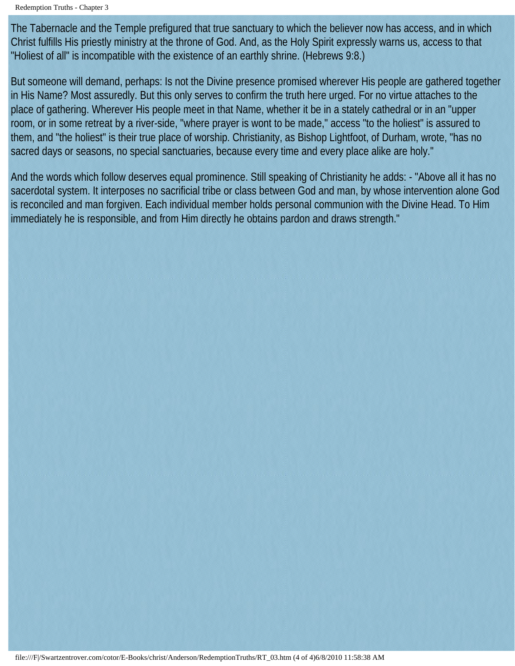The Tabernacle and the Temple prefigured that true sanctuary to which the believer now has access, and in which Christ fulfills His priestly ministry at the throne of God. And, as the Holy Spirit expressly warns us, access to that "Holiest of all" is incompatible with the existence of an earthly shrine. (Hebrews 9:8.)

But someone will demand, perhaps: Is not the Divine presence promised wherever His people are gathered together in His Name? Most assuredly. But this only serves to confirm the truth here urged. For no virtue attaches to the place of gathering. Wherever His people meet in that Name, whether it be in a stately cathedral or in an "upper room, or in some retreat by a river-side, "where prayer is wont to be made," access "to the holiest" is assured to them, and "the holiest" is their true place of worship. Christianity, as Bishop Lightfoot, of Durham, wrote, "has no sacred days or seasons, no special sanctuaries, because every time and every place alike are holy."

And the words which follow deserves equal prominence. Still speaking of Christianity he adds: - "Above all it has no sacerdotal system. It interposes no sacrificial tribe or class between God and man, by whose intervention alone God is reconciled and man forgiven. Each individual member holds personal communion with the Divine Head. To Him immediately he is responsible, and from Him directly he obtains pardon and draws strength."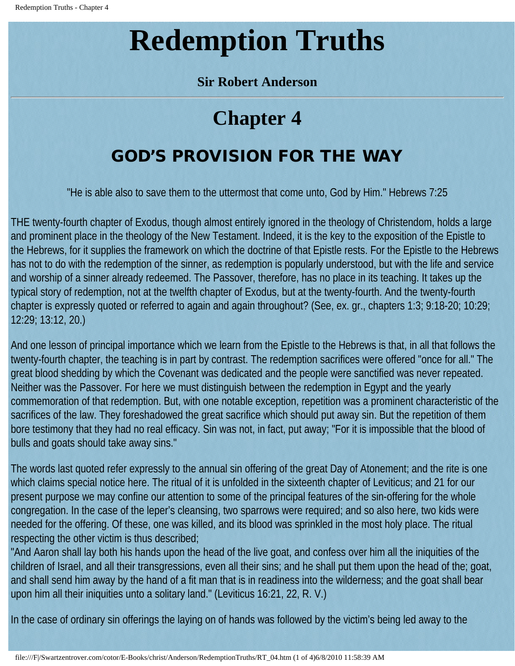#### **Sir Robert Anderson**

## **Chapter 4**

### <span id="page-14-0"></span>GOD'S PROVISION FOR THE WAY

"He is able also to save them to the uttermost that come unto, God by Him." Hebrews 7:25

THE twenty-fourth chapter of Exodus, though almost entirely ignored in the theology of Christendom, holds a large and prominent place in the theology of the New Testament. Indeed, it is the key to the exposition of the Epistle to the Hebrews, for it supplies the framework on which the doctrine of that Epistle rests. For the Epistle to the Hebrews has not to do with the redemption of the sinner, as redemption is popularly understood, but with the life and service and worship of a sinner already redeemed. The Passover, therefore, has no place in its teaching. It takes up the typical story of redemption, not at the twelfth chapter of Exodus, but at the twenty-fourth. And the twenty-fourth chapter is expressly quoted or referred to again and again throughout? (See, ex. gr., chapters 1:3; 9:18-20; 10:29; 12:29; 13:12, 20.)

And one lesson of principal importance which we learn from the Epistle to the Hebrews is that, in all that follows the twenty-fourth chapter, the teaching is in part by contrast. The redemption sacrifices were offered "once for all." The great blood shedding by which the Covenant was dedicated and the people were sanctified was never repeated. Neither was the Passover. For here we must distinguish between the redemption in Egypt and the yearly commemoration of that redemption. But, with one notable exception, repetition was a prominent characteristic of the sacrifices of the law. They foreshadowed the great sacrifice which should put away sin. But the repetition of them bore testimony that they had no real efficacy. Sin was not, in fact, put away; "For it is impossible that the blood of bulls and goats should take away sins."

The words last quoted refer expressly to the annual sin offering of the great Day of Atonement; and the rite is one which claims special notice here. The ritual of it is unfolded in the sixteenth chapter of Leviticus; and 21 for our present purpose we may confine our attention to some of the principal features of the sin-offering for the whole congregation. In the case of the leper's cleansing, two sparrows were required; and so also here, two kids were needed for the offering. Of these, one was killed, and its blood was sprinkled in the most holy place. The ritual respecting the other victim is thus described;

"And Aaron shall lay both his hands upon the head of the live goat, and confess over him all the iniquities of the children of Israel, and all their transgressions, even all their sins; and he shall put them upon the head of the; goat, and shall send him away by the hand of a fit man that is in readiness into the wilderness; and the goat shall bear upon him all their iniquities unto a solitary land." (Leviticus 16:21, 22, R. V.)

In the case of ordinary sin offerings the laying on of hands was followed by the victim's being led away to the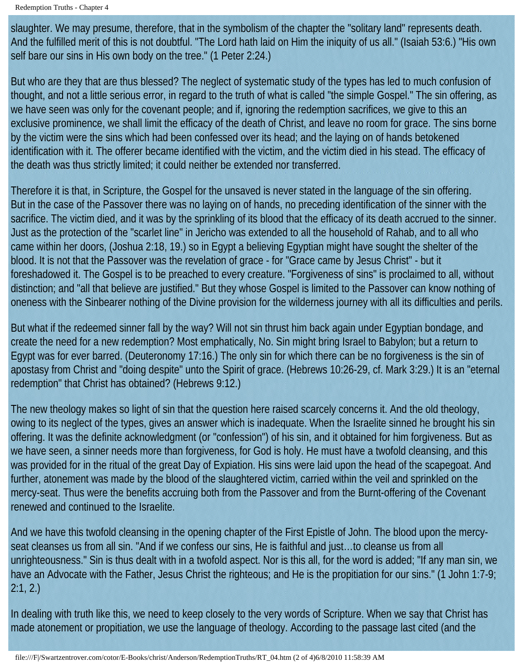slaughter. We may presume, therefore, that in the symbolism of the chapter the "solitary land" represents death. And the fulfilled merit of this is not doubtful. "The Lord hath laid on Him the iniquity of us all." (Isaiah 53:6.) "His own self bare our sins in His own body on the tree." (1 Peter 2:24.)

But who are they that are thus blessed? The neglect of systematic study of the types has led to much confusion of thought, and not a little serious error, in regard to the truth of what is called "the simple Gospel." The sin offering, as we have seen was only for the covenant people; and if, ignoring the redemption sacrifices, we give to this an exclusive prominence, we shall limit the efficacy of the death of Christ, and leave no room for grace. The sins borne by the victim were the sins which had been confessed over its head; and the laying on of hands betokened identification with it. The offerer became identified with the victim, and the victim died in his stead. The efficacy of the death was thus strictly limited; it could neither be extended nor transferred.

Therefore it is that, in Scripture, the Gospel for the unsaved is never stated in the language of the sin offering. But in the case of the Passover there was no laying on of hands, no preceding identification of the sinner with the sacrifice. The victim died, and it was by the sprinkling of its blood that the efficacy of its death accrued to the sinner. Just as the protection of the "scarlet line" in Jericho was extended to all the household of Rahab, and to all who came within her doors, (Joshua 2:18, 19.) so in Egypt a believing Egyptian might have sought the shelter of the blood. It is not that the Passover was the revelation of grace - for "Grace came by Jesus Christ" - but it foreshadowed it. The Gospel is to be preached to every creature. "Forgiveness of sins" is proclaimed to all, without distinction; and "all that believe are justified." But they whose Gospel is limited to the Passover can know nothing of oneness with the Sinbearer nothing of the Divine provision for the wilderness journey with all its difficulties and perils.

But what if the redeemed sinner fall by the way? Will not sin thrust him back again under Egyptian bondage, and create the need for a new redemption? Most emphatically, No. Sin might bring Israel to Babylon; but a return to Egypt was for ever barred. (Deuteronomy 17:16.) The only sin for which there can be no forgiveness is the sin of apostasy from Christ and "doing despite" unto the Spirit of grace. (Hebrews 10:26-29, cf. Mark 3:29.) It is an "eternal redemption" that Christ has obtained? (Hebrews 9:12.)

The new theology makes so light of sin that the question here raised scarcely concerns it. And the old theology, owing to its neglect of the types, gives an answer which is inadequate. When the Israelite sinned he brought his sin offering. It was the definite acknowledgment (or "confession") of his sin, and it obtained for him forgiveness. But as we have seen, a sinner needs more than forgiveness, for God is holy. He must have a twofold cleansing, and this was provided for in the ritual of the great Day of Expiation. His sins were laid upon the head of the scapegoat. And further, atonement was made by the blood of the slaughtered victim, carried within the veil and sprinkled on the mercy-seat. Thus were the benefits accruing both from the Passover and from the Burnt-offering of the Covenant renewed and continued to the Israelite.

And we have this twofold cleansing in the opening chapter of the First Epistle of John. The blood upon the mercyseat cleanses us from all sin. "And if we confess our sins, He is faithful and just…to cleanse us from all unrighteousness." Sin is thus dealt with in a twofold aspect. Nor is this all, for the word is added; "If any man sin, we have an Advocate with the Father, Jesus Christ the righteous; and He is the propitiation for our sins." (1 John 1:7-9; 2:1, 2.)

In dealing with truth like this, we need to keep closely to the very words of Scripture. When we say that Christ has made atonement or propitiation, we use the language of theology. According to the passage last cited (and the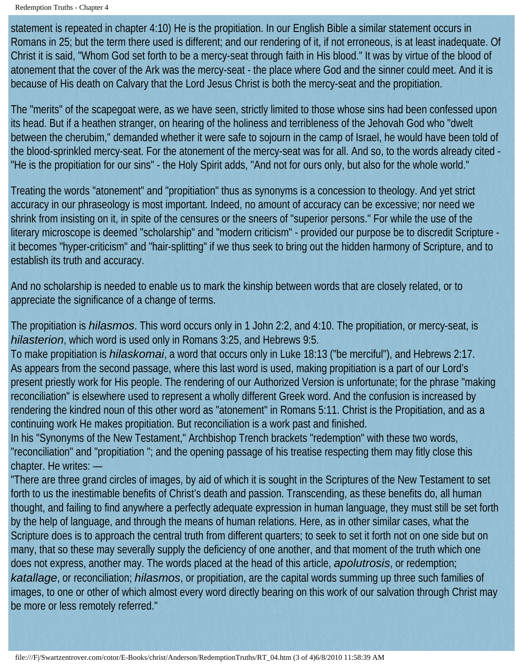statement is repeated in chapter 4:10) He is the propitiation. In our English Bible a similar statement occurs in Romans in 25; but the term there used is different; and our rendering of it, if not erroneous, is at least inadequate. Of Christ it is said, "Whom God set forth to be a mercy-seat through faith in His blood." It was by virtue of the blood of atonement that the cover of the Ark was the mercy-seat - the place where God and the sinner could meet. And it is because of His death on Calvary that the Lord Jesus Christ is both the mercy-seat and the propitiation.

The "merits" of the scapegoat were, as we have seen, strictly limited to those whose sins had been confessed upon its head. But if a heathen stranger, on hearing of the holiness and terribleness of the Jehovah God who "dwelt between the cherubim," demanded whether it were safe to sojourn in the camp of Israel, he would have been told of the blood-sprinkled mercy-seat. For the atonement of the mercy-seat was for all. And so, to the words already cited - "He is the propitiation for our sins" - the Holy Spirit adds, "And not for ours only, but also for the whole world."

Treating the words "atonement" and "propitiation" thus as synonyms is a concession to theology. And yet strict accuracy in our phraseology is most important. Indeed, no amount of accuracy can be excessive; nor need we shrink from insisting on it, in spite of the censures or the sneers of "superior persons." For while the use of the literary microscope is deemed "scholarship" and "modern criticism" - provided our purpose be to discredit Scripture it becomes "hyper-criticism" and "hair-splitting" if we thus seek to bring out the hidden harmony of Scripture, and to establish its truth and accuracy.

And no scholarship is needed to enable us to mark the kinship between words that are closely related, or to appreciate the significance of a change of terms.

The propitiation is *hilasmos*. This word occurs only in 1 John 2:2, and 4:10. The propitiation, or mercy-seat, is *hilasterion*, which word is used only in Romans 3:25, and Hebrews 9:5.

To make propitiation is *hilaskomai*, a word that occurs only in Luke 18:13 ("be merciful"), and Hebrews 2:17. As appears from the second passage, where this last word is used, making propitiation is a part of our Lord's present priestly work for His people. The rendering of our Authorized Version is unfortunate; for the phrase "making reconciliation" is elsewhere used to represent a wholly different Greek word. And the confusion is increased by rendering the kindred noun of this other word as "atonement" in Romans 5:11. Christ is the Propitiation, and as a continuing work He makes propitiation. But reconciliation is a work past and finished.

In his "Synonyms of the New Testament," Archbishop Trench brackets "redemption" with these two words, "reconciliation" and "propitiation "; and the opening passage of his treatise respecting them may fitly close this chapter. He writes: —

"There are three grand circles of images, by aid of which it is sought in the Scriptures of the New Testament to set forth to us the inestimable benefits of Christ's death and passion. Transcending, as these benefits do, all human thought, and failing to find anywhere a perfectly adequate expression in human language, they must still be set forth by the help of language, and through the means of human relations. Here, as in other similar cases, what the Scripture does is to approach the central truth from different quarters; to seek to set it forth not on one side but on many, that so these may severally supply the deficiency of one another, and that moment of the truth which one does not express, another may. The words placed at the head of this article, *apolutrosis*, or redemption; *katallage*, or reconciliation; *hilasmos*, or propitiation, are the capital words summing up three such families of images, to one or other of which almost every word directly bearing on this work of our salvation through Christ may be more or less remotely referred."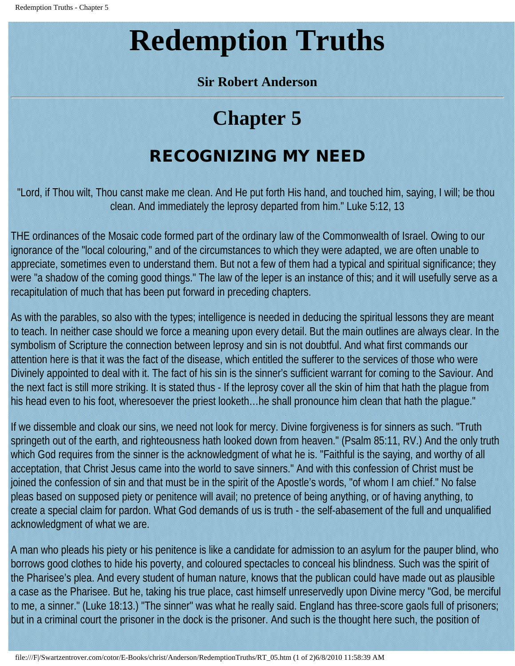### **Sir Robert Anderson**

## **Chapter 5**

### RECOGNIZING MY NEED

<span id="page-18-0"></span>"Lord, if Thou wilt, Thou canst make me clean. And He put forth His hand, and touched him, saying, I will; be thou clean. And immediately the leprosy departed from him." Luke 5:12, 13

THE ordinances of the Mosaic code formed part of the ordinary law of the Commonwealth of Israel. Owing to our ignorance of the "local colouring," and of the circumstances to which they were adapted, we are often unable to appreciate, sometimes even to understand them. But not a few of them had a typical and spiritual significance; they were "a shadow of the coming good things." The law of the leper is an instance of this; and it will usefully serve as a recapitulation of much that has been put forward in preceding chapters.

As with the parables, so also with the types; intelligence is needed in deducing the spiritual lessons they are meant to teach. In neither case should we force a meaning upon every detail. But the main outlines are always clear. In the symbolism of Scripture the connection between leprosy and sin is not doubtful. And what first commands our attention here is that it was the fact of the disease, which entitled the sufferer to the services of those who were Divinely appointed to deal with it. The fact of his sin is the sinner's sufficient warrant for coming to the Saviour. And the next fact is still more striking. It is stated thus - If the leprosy cover all the skin of him that hath the plague from his head even to his foot, wheresoever the priest looketh...he shall pronounce him clean that hath the plague."

If we dissemble and cloak our sins, we need not look for mercy. Divine forgiveness is for sinners as such. "Truth springeth out of the earth, and righteousness hath looked down from heaven." (Psalm 85:11, RV.) And the only truth which God requires from the sinner is the acknowledgment of what he is. "Faithful is the saying, and worthy of all acceptation, that Christ Jesus came into the world to save sinners." And with this confession of Christ must be joined the confession of sin and that must be in the spirit of the Apostle's words, "of whom I am chief." No false pleas based on supposed piety or penitence will avail; no pretence of being anything, or of having anything, to create a special claim for pardon. What God demands of us is truth - the self-abasement of the full and unqualified acknowledgment of what we are.

A man who pleads his piety or his penitence is like a candidate for admission to an asylum for the pauper blind, who borrows good clothes to hide his poverty, and coloured spectacles to conceal his blindness. Such was the spirit of the Pharisee's plea. And every student of human nature, knows that the publican could have made out as plausible a case as the Pharisee. But he, taking his true place, cast himself unreservedly upon Divine mercy "God, be merciful to me, a sinner." (Luke 18:13.) "The sinner" was what he really said. England has three-score gaols full of prisoners; but in a criminal court the prisoner in the dock is the prisoner. And such is the thought here such, the position of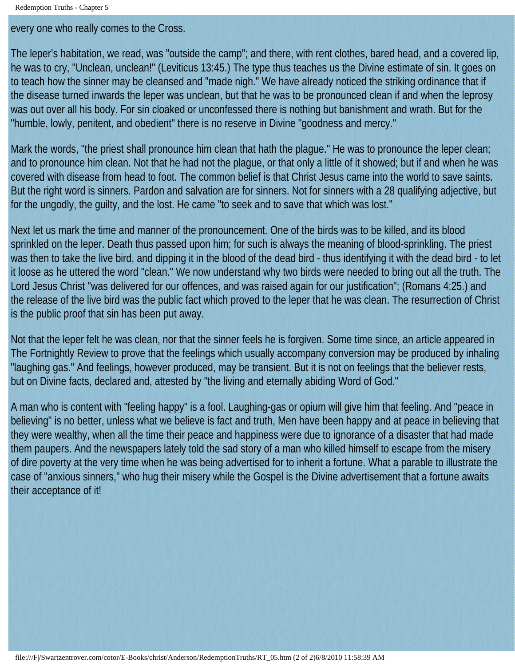every one who really comes to the Cross.

The leper's habitation, we read, was "outside the camp"; and there, with rent clothes, bared head, and a covered lip, he was to cry, "Unclean, unclean!" (Leviticus 13:45.) The type thus teaches us the Divine estimate of sin. It goes on to teach how the sinner may be cleansed and "made nigh." We have already noticed the striking ordinance that if the disease turned inwards the leper was unclean, but that he was to be pronounced clean if and when the leprosy was out over all his body. For sin cloaked or unconfessed there is nothing but banishment and wrath. But for the "humble, lowly, penitent, and obedient" there is no reserve in Divine "goodness and mercy."

Mark the words, "the priest shall pronounce him clean that hath the plague." He was to pronounce the leper clean; and to pronounce him clean. Not that he had not the plague, or that only a little of it showed; but if and when he was covered with disease from head to foot. The common belief is that Christ Jesus came into the world to save saints. But the right word is sinners. Pardon and salvation are for sinners. Not for sinners with a 28 qualifying adjective, but for the ungodly, the guilty, and the lost. He came "to seek and to save that which was lost."

Next let us mark the time and manner of the pronouncement. One of the birds was to be killed, and its blood sprinkled on the leper. Death thus passed upon him; for such is always the meaning of blood-sprinkling. The priest was then to take the live bird, and dipping it in the blood of the dead bird - thus identifying it with the dead bird - to let it loose as he uttered the word "clean." We now understand why two birds were needed to bring out all the truth. The Lord Jesus Christ "was delivered for our offences, and was raised again for our justification"; (Romans 4:25.) and the release of the live bird was the public fact which proved to the leper that he was clean. The resurrection of Christ is the public proof that sin has been put away.

Not that the leper felt he was clean, nor that the sinner feels he is forgiven. Some time since, an article appeared in The Fortnightly Review to prove that the feelings which usually accompany conversion may be produced by inhaling "laughing gas." And feelings, however produced, may be transient. But it is not on feelings that the believer rests, but on Divine facts, declared and, attested by "the living and eternally abiding Word of God."

A man who is content with "feeling happy" is a fool. Laughing-gas or opium will give him that feeling. And "peace in believing" is no better, unless what we believe is fact and truth, Men have been happy and at peace in believing that they were wealthy, when all the time their peace and happiness were due to ignorance of a disaster that had made them paupers. And the newspapers lately told the sad story of a man who killed himself to escape from the misery of dire poverty at the very time when he was being advertised for to inherit a fortune. What a parable to illustrate the case of "anxious sinners," who hug their misery while the Gospel is the Divine advertisement that a fortune awaits their acceptance of it!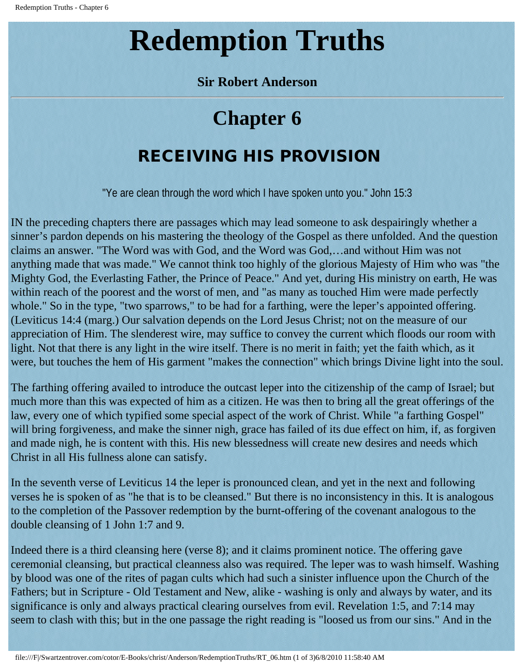#### **Sir Robert Anderson**

## **Chapter 6**

### <span id="page-20-0"></span>RECEIVING HIS PROVISION

"Ye are clean through the word which I have spoken unto you." John 15:3

IN the preceding chapters there are passages which may lead someone to ask despairingly whether a sinner's pardon depends on his mastering the theology of the Gospel as there unfolded. And the question claims an answer. "The Word was with God, and the Word was God,…and without Him was not anything made that was made." We cannot think too highly of the glorious Majesty of Him who was "the Mighty God, the Everlasting Father, the Prince of Peace." And yet, during His ministry on earth, He was within reach of the poorest and the worst of men, and "as many as touched Him were made perfectly whole." So in the type, "two sparrows," to be had for a farthing, were the leper's appointed offering. (Leviticus 14:4 (marg.) Our salvation depends on the Lord Jesus Christ; not on the measure of our appreciation of Him. The slenderest wire, may suffice to convey the current which floods our room with light. Not that there is any light in the wire itself. There is no merit in faith; yet the faith which, as it were, but touches the hem of His garment "makes the connection" which brings Divine light into the soul.

The farthing offering availed to introduce the outcast leper into the citizenship of the camp of Israel; but much more than this was expected of him as a citizen. He was then to bring all the great offerings of the law, every one of which typified some special aspect of the work of Christ. While "a farthing Gospel" will bring forgiveness, and make the sinner nigh, grace has failed of its due effect on him, if, as forgiven and made nigh, he is content with this. His new blessedness will create new desires and needs which Christ in all His fullness alone can satisfy.

In the seventh verse of Leviticus 14 the leper is pronounced clean, and yet in the next and following verses he is spoken of as "he that is to be cleansed." But there is no inconsistency in this. It is analogous to the completion of the Passover redemption by the burnt-offering of the covenant analogous to the double cleansing of 1 John 1:7 and 9.

Indeed there is a third cleansing here (verse 8); and it claims prominent notice. The offering gave ceremonial cleansing, but practical cleanness also was required. The leper was to wash himself. Washing by blood was one of the rites of pagan cults which had such a sinister influence upon the Church of the Fathers; but in Scripture - Old Testament and New, alike - washing is only and always by water, and its significance is only and always practical clearing ourselves from evil. Revelation 1:5, and 7:14 may seem to clash with this; but in the one passage the right reading is "loosed us from our sins." And in the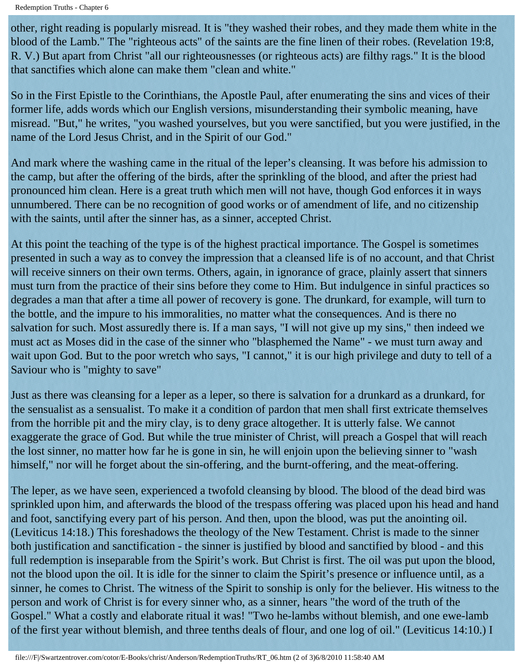other, right reading is popularly misread. It is "they washed their robes, and they made them white in the blood of the Lamb." The "righteous acts" of the saints are the fine linen of their robes. (Revelation 19:8, R. V.) But apart from Christ "all our righteousnesses (or righteous acts) are filthy rags." It is the blood that sanctifies which alone can make them "clean and white."

So in the First Epistle to the Corinthians, the Apostle Paul, after enumerating the sins and vices of their former life, adds words which our English versions, misunderstanding their symbolic meaning, have misread. "But," he writes, "you washed yourselves, but you were sanctified, but you were justified, in the name of the Lord Jesus Christ, and in the Spirit of our God."

And mark where the washing came in the ritual of the leper's cleansing. It was before his admission to the camp, but after the offering of the birds, after the sprinkling of the blood, and after the priest had pronounced him clean. Here is a great truth which men will not have, though God enforces it in ways unnumbered. There can be no recognition of good works or of amendment of life, and no citizenship with the saints, until after the sinner has, as a sinner, accepted Christ.

At this point the teaching of the type is of the highest practical importance. The Gospel is sometimes presented in such a way as to convey the impression that a cleansed life is of no account, and that Christ will receive sinners on their own terms. Others, again, in ignorance of grace, plainly assert that sinners must turn from the practice of their sins before they come to Him. But indulgence in sinful practices so degrades a man that after a time all power of recovery is gone. The drunkard, for example, will turn to the bottle, and the impure to his immoralities, no matter what the consequences. And is there no salvation for such. Most assuredly there is. If a man says, "I will not give up my sins," then indeed we must act as Moses did in the case of the sinner who "blasphemed the Name" - we must turn away and wait upon God. But to the poor wretch who says, "I cannot," it is our high privilege and duty to tell of a Saviour who is "mighty to save"

Just as there was cleansing for a leper as a leper, so there is salvation for a drunkard as a drunkard, for the sensualist as a sensualist. To make it a condition of pardon that men shall first extricate themselves from the horrible pit and the miry clay, is to deny grace altogether. It is utterly false. We cannot exaggerate the grace of God. But while the true minister of Christ, will preach a Gospel that will reach the lost sinner, no matter how far he is gone in sin, he will enjoin upon the believing sinner to "wash himself," nor will he forget about the sin-offering, and the burnt-offering, and the meat-offering.

The leper, as we have seen, experienced a twofold cleansing by blood. The blood of the dead bird was sprinkled upon him, and afterwards the blood of the trespass offering was placed upon his head and hand and foot, sanctifying every part of his person. And then, upon the blood, was put the anointing oil. (Leviticus 14:18.) This foreshadows the theology of the New Testament. Christ is made to the sinner both justification and sanctification - the sinner is justified by blood and sanctified by blood - and this full redemption is inseparable from the Spirit's work. But Christ is first. The oil was put upon the blood, not the blood upon the oil. It is idle for the sinner to claim the Spirit's presence or influence until, as a sinner, he comes to Christ. The witness of the Spirit to sonship is only for the believer. His witness to the person and work of Christ is for every sinner who, as a sinner, hears "the word of the truth of the Gospel." What a costly and elaborate ritual it was! "Two he-lambs without blemish, and one ewe-lamb of the first year without blemish, and three tenths deals of flour, and one log of oil." (Leviticus 14:10.) I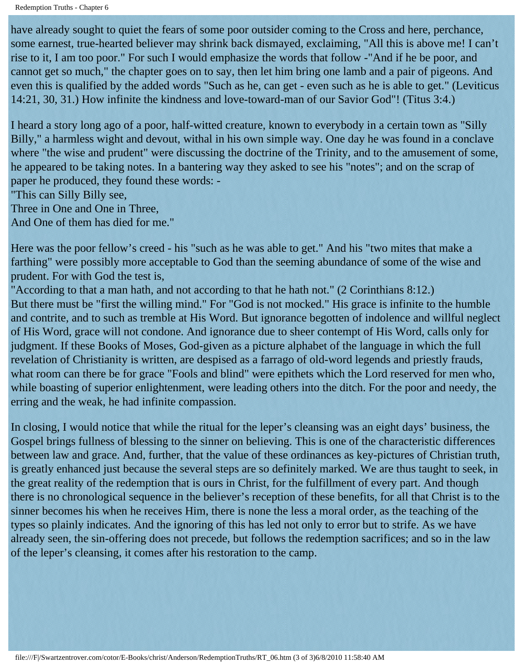have already sought to quiet the fears of some poor outsider coming to the Cross and here, perchance, some earnest, true-hearted believer may shrink back dismayed, exclaiming, "All this is above me! I can't rise to it, I am too poor." For such I would emphasize the words that follow -"And if he be poor, and cannot get so much," the chapter goes on to say, then let him bring one lamb and a pair of pigeons. And even this is qualified by the added words "Such as he, can get - even such as he is able to get." (Leviticus 14:21, 30, 31.) How infinite the kindness and love-toward-man of our Savior God"! (Titus 3:4.)

I heard a story long ago of a poor, half-witted creature, known to everybody in a certain town as "Silly Billy," a harmless wight and devout, withal in his own simple way. One day he was found in a conclave where "the wise and prudent" were discussing the doctrine of the Trinity, and to the amusement of some, he appeared to be taking notes. In a bantering way they asked to see his "notes"; and on the scrap of paper he produced, they found these words: -

"This can Silly Billy see,

Three in One and One in Three,

And One of them has died for me."

Here was the poor fellow's creed - his "such as he was able to get." And his "two mites that make a farthing" were possibly more acceptable to God than the seeming abundance of some of the wise and prudent. For with God the test is,

"According to that a man hath, and not according to that he hath not." (2 Corinthians 8:12.) But there must be "first the willing mind." For "God is not mocked." His grace is infinite to the humble and contrite, and to such as tremble at His Word. But ignorance begotten of indolence and willful neglect of His Word, grace will not condone. And ignorance due to sheer contempt of His Word, calls only for judgment. If these Books of Moses, God-given as a picture alphabet of the language in which the full revelation of Christianity is written, are despised as a farrago of old-word legends and priestly frauds, what room can there be for grace "Fools and blind" were epithets which the Lord reserved for men who, while boasting of superior enlightenment, were leading others into the ditch. For the poor and needy, the erring and the weak, he had infinite compassion.

In closing, I would notice that while the ritual for the leper's cleansing was an eight days' business, the Gospel brings fullness of blessing to the sinner on believing. This is one of the characteristic differences between law and grace. And, further, that the value of these ordinances as key-pictures of Christian truth, is greatly enhanced just because the several steps are so definitely marked. We are thus taught to seek, in the great reality of the redemption that is ours in Christ, for the fulfillment of every part. And though there is no chronological sequence in the believer's reception of these benefits, for all that Christ is to the sinner becomes his when he receives Him, there is none the less a moral order, as the teaching of the types so plainly indicates. And the ignoring of this has led not only to error but to strife. As we have already seen, the sin-offering does not precede, but follows the redemption sacrifices; and so in the law of the leper's cleansing, it comes after his restoration to the camp.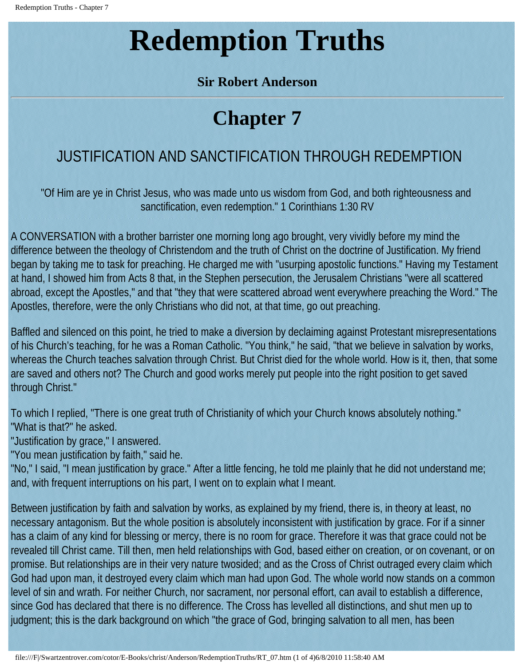### **Sir Robert Anderson**

## **Chapter 7**

### <span id="page-23-0"></span>JUSTIFICATION AND SANCTIFICATION THROUGH REDEMPTION

"Of Him are ye in Christ Jesus, who was made unto us wisdom from God, and both righteousness and sanctification, even redemption." 1 Corinthians 1:30 RV

A CONVERSATION with a brother barrister one morning long ago brought, very vividly before my mind the difference between the theology of Christendom and the truth of Christ on the doctrine of Justification. My friend began by taking me to task for preaching. He charged me with "usurping apostolic functions." Having my Testament at hand, I showed him from Acts 8 that, in the Stephen persecution, the Jerusalem Christians "were all scattered abroad, except the Apostles," and that "they that were scattered abroad went everywhere preaching the Word." The Apostles, therefore, were the only Christians who did not, at that time, go out preaching.

Baffled and silenced on this point, he tried to make a diversion by declaiming against Protestant misrepresentations of his Church's teaching, for he was a Roman Catholic. "You think," he said, "that we believe in salvation by works, whereas the Church teaches salvation through Christ. But Christ died for the whole world. How is it, then, that some are saved and others not? The Church and good works merely put people into the right position to get saved through Christ."

To which I replied, "There is one great truth of Christianity of which your Church knows absolutely nothing." "What is that?" he asked.

"Justification by grace," I answered.

"You mean justification by faith," said he.

"No," I said, "I mean justification by grace." After a little fencing, he told me plainly that he did not understand me; and, with frequent interruptions on his part, I went on to explain what I meant.

Between justification by faith and salvation by works, as explained by my friend, there is, in theory at least, no necessary antagonism. But the whole position is absolutely inconsistent with justification by grace. For if a sinner has a claim of any kind for blessing or mercy, there is no room for grace. Therefore it was that grace could not be revealed till Christ came. Till then, men held relationships with God, based either on creation, or on covenant, or on promise. But relationships are in their very nature twosided; and as the Cross of Christ outraged every claim which God had upon man, it destroyed every claim which man had upon God. The whole world now stands on a common level of sin and wrath. For neither Church, nor sacrament, nor personal effort, can avail to establish a difference, since God has declared that there is no difference. The Cross has levelled all distinctions, and shut men up to judgment; this is the dark background on which "the grace of God, bringing salvation to all men, has been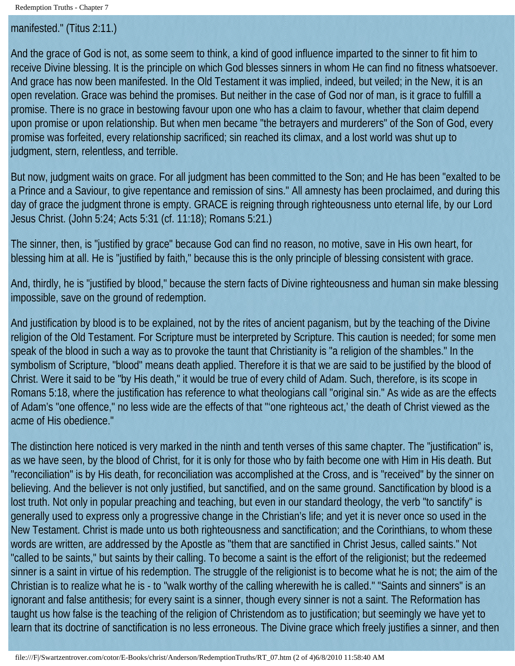manifested." (Titus 2:11.)

And the grace of God is not, as some seem to think, a kind of good influence imparted to the sinner to fit him to receive Divine blessing. It is the principle on which God blesses sinners in whom He can find no fitness whatsoever. And grace has now been manifested. In the Old Testament it was implied, indeed, but veiled; in the New, it is an open revelation. Grace was behind the promises. But neither in the case of God nor of man, is it grace to fulfill a promise. There is no grace in bestowing favour upon one who has a claim to favour, whether that claim depend upon promise or upon relationship. But when men became "the betrayers and murderers" of the Son of God, every promise was forfeited, every relationship sacrificed; sin reached its climax, and a lost world was shut up to judgment, stern, relentless, and terrible.

But now, judgment waits on grace. For all judgment has been committed to the Son; and He has been "exalted to be a Prince and a Saviour, to give repentance and remission of sins." All amnesty has been proclaimed, and during this day of grace the judgment throne is empty. GRACE is reigning through righteousness unto eternal life, by our Lord Jesus Christ. (John 5:24; Acts 5:31 (cf. 11:18); Romans 5:21.)

The sinner, then, is "justified by grace" because God can find no reason, no motive, save in His own heart, for blessing him at all. He is "justified by faith," because this is the only principle of blessing consistent with grace.

And, thirdly, he is "justified by blood," because the stern facts of Divine righteousness and human sin make blessing impossible, save on the ground of redemption.

And justification by blood is to be explained, not by the rites of ancient paganism, but by the teaching of the Divine religion of the Old Testament. For Scripture must be interpreted by Scripture. This caution is needed; for some men speak of the blood in such a way as to provoke the taunt that Christianity is "a religion of the shambles." In the symbolism of Scripture, "blood" means death applied. Therefore it is that we are said to be justified by the blood of Christ. Were it said to be "by His death," it would be true of every child of Adam. Such, therefore, is its scope in Romans 5:18, where the justification has reference to what theologians call "original sin." As wide as are the effects of Adam's "one offence," no less wide are the effects of that "'one righteous act,' the death of Christ viewed as the acme of His obedience."

The distinction here noticed is very marked in the ninth and tenth verses of this same chapter. The "justification" is, as we have seen, by the blood of Christ, for it is only for those who by faith become one with Him in His death. But "reconciliation" is by His death, for reconciliation was accomplished at the Cross, and is "received" by the sinner on believing. And the believer is not only justified, but sanctified, and on the same ground. Sanctification by blood is a lost truth. Not only in popular preaching and teaching, but even in our standard theology, the verb "to sanctify" is generally used to express only a progressive change in the Christian's life; and yet it is never once so used in the New Testament. Christ is made unto us both righteousness and sanctification; and the Corinthians, to whom these words are written, are addressed by the Apostle as "them that are sanctified in Christ Jesus, called saints." Not "called to be saints," but saints by their calling. To become a saint is the effort of the religionist; but the redeemed sinner is a saint in virtue of his redemption. The struggle of the religionist is to become what he is not; the aim of the Christian is to realize what he is - to "walk worthy of the calling wherewith he is called." "Saints and sinners" is an ignorant and false antithesis; for every saint is a sinner, though every sinner is not a saint. The Reformation has taught us how false is the teaching of the religion of Christendom as to justification; but seemingly we have yet to learn that its doctrine of sanctification is no less erroneous. The Divine grace which freely justifies a sinner, and then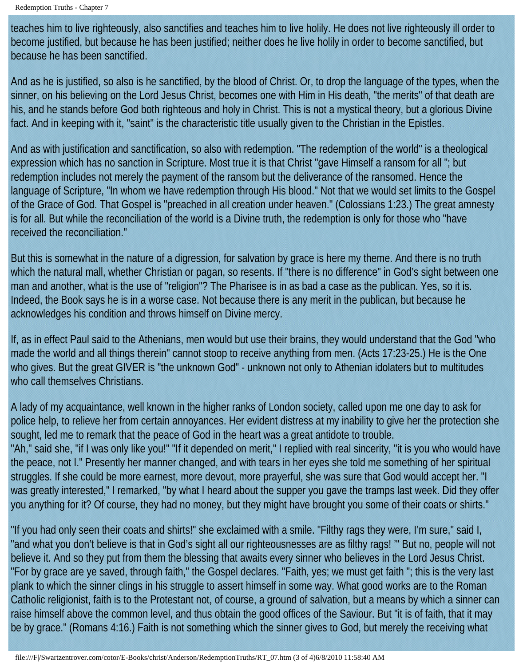teaches him to live righteously, also sanctifies and teaches him to live holily. He does not live righteously ill order to become justified, but because he has been justified; neither does he live holily in order to become sanctified, but because he has been sanctified.

And as he is justified, so also is he sanctified, by the blood of Christ. Or, to drop the language of the types, when the sinner, on his believing on the Lord Jesus Christ, becomes one with Him in His death, "the merits" of that death are his, and he stands before God both righteous and holy in Christ. This is not a mystical theory, but a glorious Divine fact. And in keeping with it, "saint" is the characteristic title usually given to the Christian in the Epistles.

And as with justification and sanctification, so also with redemption. "The redemption of the world" is a theological expression which has no sanction in Scripture. Most true it is that Christ "gave Himself a ransom for all "; but redemption includes not merely the payment of the ransom but the deliverance of the ransomed. Hence the language of Scripture, "In whom we have redemption through His blood." Not that we would set limits to the Gospel of the Grace of God. That Gospel is "preached in all creation under heaven." (Colossians 1:23.) The great amnesty is for all. But while the reconciliation of the world is a Divine truth, the redemption is only for those who "have received the reconciliation."

But this is somewhat in the nature of a digression, for salvation by grace is here my theme. And there is no truth which the natural mall, whether Christian or pagan, so resents. If "there is no difference" in God's sight between one man and another, what is the use of "religion"? The Pharisee is in as bad a case as the publican. Yes, so it is. Indeed, the Book says he is in a worse case. Not because there is any merit in the publican, but because he acknowledges his condition and throws himself on Divine mercy.

If, as in effect Paul said to the Athenians, men would but use their brains, they would understand that the God "who made the world and all things therein" cannot stoop to receive anything from men. (Acts 17:23-25.) He is the One who gives. But the great GIVER is "the unknown God" - unknown not only to Athenian idolaters but to multitudes who call themselves Christians.

A lady of my acquaintance, well known in the higher ranks of London society, called upon me one day to ask for police help, to relieve her from certain annoyances. Her evident distress at my inability to give her the protection she sought, led me to remark that the peace of God in the heart was a great antidote to trouble. "Ah," said she, "if I was only like you!" "If it depended on merit," I replied with real sincerity, "it is you who would have the peace, not I." Presently her manner changed, and with tears in her eyes she told me something of her spiritual struggles. If she could be more earnest, more devout, more prayerful, she was sure that God would accept her. "I was greatly interested," I remarked, "by what I heard about the supper you gave the tramps last week. Did they offer

you anything for it? Of course, they had no money, but they might have brought you some of their coats or shirts."

"If you had only seen their coats and shirts!" she exclaimed with a smile. "Filthy rags they were, I'm sure," said I, "and what you don't believe is that in God's sight all our righteousnesses are as filthy rags! '" But no, people will not believe it. And so they put from them the blessing that awaits every sinner who believes in the Lord Jesus Christ. "For by grace are ye saved, through faith," the Gospel declares. "Faith, yes; we must get faith "; this is the very last plank to which the sinner clings in his struggle to assert himself in some way. What good works are to the Roman Catholic religionist, faith is to the Protestant not, of course, a ground of salvation, but a means by which a sinner can raise himself above the common level, and thus obtain the good offices of the Saviour. But "it is of faith, that it may be by grace." (Romans 4:16.) Faith is not something which the sinner gives to God, but merely the receiving what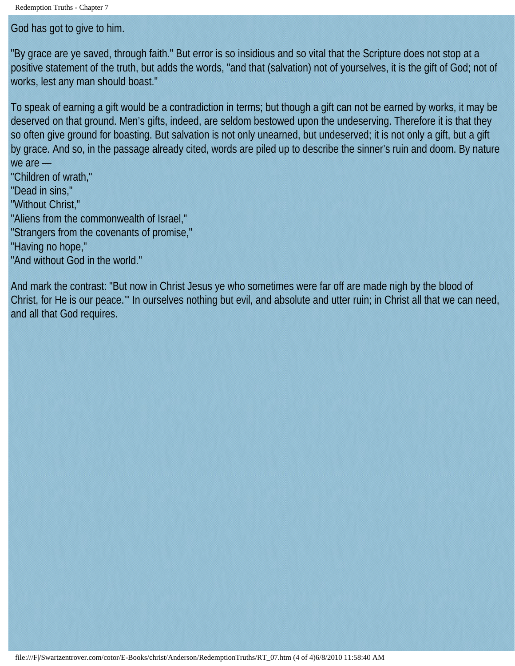God has got to give to him.

"By grace are ye saved, through faith." But error is so insidious and so vital that the Scripture does not stop at a positive statement of the truth, but adds the words, "and that (salvation) not of yourselves, it is the gift of God; not of works, lest any man should boast."

To speak of earning a gift would be a contradiction in terms; but though a gift can not be earned by works, it may be deserved on that ground. Men's gifts, indeed, are seldom bestowed upon the undeserving. Therefore it is that they so often give ground for boasting. But salvation is not only unearned, but undeserved; it is not only a gift, but a gift by grace. And so, in the passage already cited, words are piled up to describe the sinner's ruin and doom. By nature we are —

"Children of wrath," "Dead in sins," "Without Christ," "Aliens from the commonwealth of Israel," "Strangers from the covenants of promise," "Having no hope," "And without God in the world."

And mark the contrast: "But now in Christ Jesus ye who sometimes were far off are made nigh by the blood of Christ, for He is our peace.'" In ourselves nothing but evil, and absolute and utter ruin; in Christ all that we can need, and all that God requires.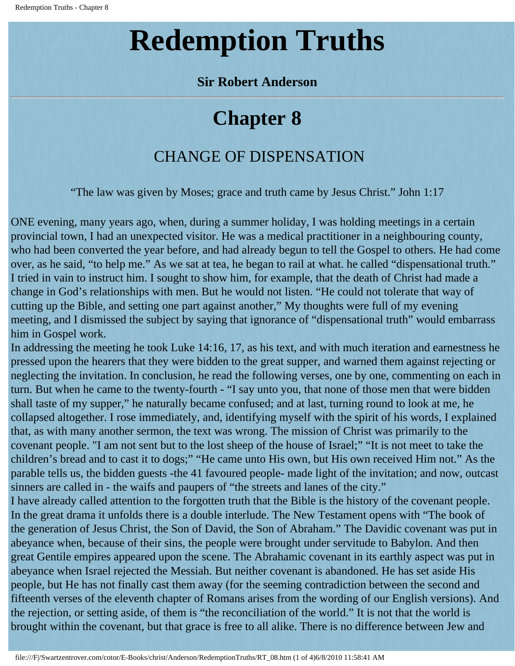#### **Sir Robert Anderson**

## **Chapter 8**

### CHANGE OF DISPENSATION

<span id="page-27-0"></span>"The law was given by Moses; grace and truth came by Jesus Christ." John 1:17

ONE evening, many years ago, when, during a summer holiday, I was holding meetings in a certain provincial town, I had an unexpected visitor. He was a medical practitioner in a neighbouring county, who had been converted the year before, and had already begun to tell the Gospel to others. He had come over, as he said, "to help me." As we sat at tea, he began to rail at what. he called "dispensational truth." I tried in vain to instruct him. I sought to show him, for example, that the death of Christ had made a change in God's relationships with men. But he would not listen. "He could not tolerate that way of cutting up the Bible, and setting one part against another," My thoughts were full of my evening meeting, and I dismissed the subject by saying that ignorance of "dispensational truth" would embarrass him in Gospel work.

In addressing the meeting he took Luke 14:16, 17, as his text, and with much iteration and earnestness he pressed upon the hearers that they were bidden to the great supper, and warned them against rejecting or neglecting the invitation. In conclusion, he read the following verses, one by one, commenting on each in turn. But when he came to the twenty-fourth - "I say unto you, that none of those men that were bidden shall taste of my supper," he naturally became confused; and at last, turning round to look at me, he collapsed altogether. I rose immediately, and, identifying myself with the spirit of his words, I explained that, as with many another sermon, the text was wrong. The mission of Christ was primarily to the covenant people. "I am not sent but to the lost sheep of the house of Israel;" "It is not meet to take the children's bread and to cast it to dogs;" "He came unto His own, but His own received Him not." As the parable tells us, the bidden guests -the 41 favoured people- made light of the invitation; and now, outcast sinners are called in - the waifs and paupers of "the streets and lanes of the city."

I have already called attention to the forgotten truth that the Bible is the history of the covenant people. In the great drama it unfolds there is a double interlude. The New Testament opens with "The book of the generation of Jesus Christ, the Son of David, the Son of Abraham." The Davidic covenant was put in abeyance when, because of their sins, the people were brought under servitude to Babylon. And then great Gentile empires appeared upon the scene. The Abrahamic covenant in its earthly aspect was put in abeyance when Israel rejected the Messiah. But neither covenant is abandoned. He has set aside His people, but He has not finally cast them away (for the seeming contradiction between the second and fifteenth verses of the eleventh chapter of Romans arises from the wording of our English versions). And the rejection, or setting aside, of them is "the reconciliation of the world." It is not that the world is brought within the covenant, but that grace is free to all alike. There is no difference between Jew and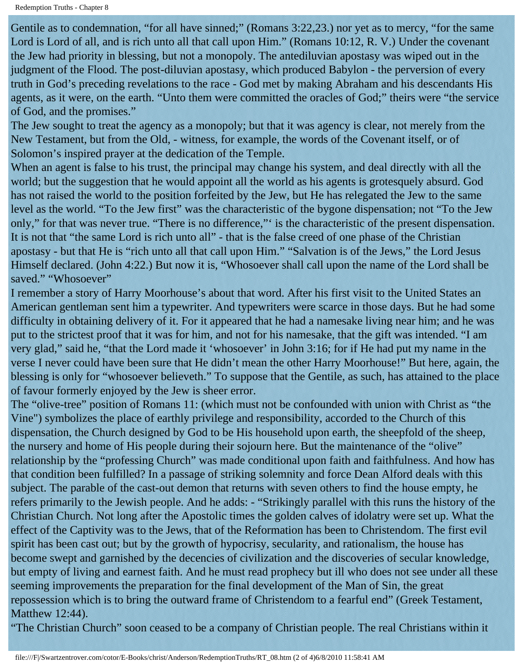Gentile as to condemnation, "for all have sinned;" (Romans 3:22,23.) nor yet as to mercy, "for the same Lord is Lord of all, and is rich unto all that call upon Him." (Romans 10:12, R. V.) Under the covenant the Jew had priority in blessing, but not a monopoly. The antediluvian apostasy was wiped out in the judgment of the Flood. The post-diluvian apostasy, which produced Babylon - the perversion of every truth in God's preceding revelations to the race - God met by making Abraham and his descendants His agents, as it were, on the earth. "Unto them were committed the oracles of God;" theirs were "the service of God, and the promises."

The Jew sought to treat the agency as a monopoly; but that it was agency is clear, not merely from the New Testament, but from the Old, - witness, for example, the words of the Covenant itself, or of Solomon's inspired prayer at the dedication of the Temple.

When an agent is false to his trust, the principal may change his system, and deal directly with all the world; but the suggestion that he would appoint all the world as his agents is grotesquely absurd. God has not raised the world to the position forfeited by the Jew, but He has relegated the Jew to the same level as the world. "To the Jew first" was the characteristic of the bygone dispensation; not "To the Jew only," for that was never true. "There is no difference,"' is the characteristic of the present dispensation. It is not that "the same Lord is rich unto all" - that is the false creed of one phase of the Christian apostasy - but that He is "rich unto all that call upon Him." "Salvation is of the Jews," the Lord Jesus Himself declared. (John 4:22.) But now it is, "Whosoever shall call upon the name of the Lord shall be saved." "Whosoever"

I remember a story of Harry Moorhouse's about that word. After his first visit to the United States an American gentleman sent him a typewriter. And typewriters were scarce in those days. But he had some difficulty in obtaining delivery of it. For it appeared that he had a namesake living near him; and he was put to the strictest proof that it was for him, and not for his namesake, that the gift was intended. "I am very glad," said he, "that the Lord made it 'whosoever' in John 3:16; for if He had put my name in the verse I never could have been sure that He didn't mean the other Harry Moorhouse!" But here, again, the blessing is only for "whosoever believeth." To suppose that the Gentile, as such, has attained to the place of favour formerly enjoyed by the Jew is sheer error.

The "olive-tree" position of Romans 11: (which must not be confounded with union with Christ as "the Vine") symbolizes the place of earthly privilege and responsibility, accorded to the Church of this dispensation, the Church designed by God to be His household upon earth, the sheepfold of the sheep, the nursery and home of His people during their sojourn here. But the maintenance of the "olive" relationship by the "professing Church" was made conditional upon faith and faithfulness. And how has that condition been fulfilled? In a passage of striking solemnity and force Dean Alford deals with this subject. The parable of the cast-out demon that returns with seven others to find the house empty, he refers primarily to the Jewish people. And he adds: - "Strikingly parallel with this runs the history of the Christian Church. Not long after the Apostolic times the golden calves of idolatry were set up. What the effect of the Captivity was to the Jews, that of the Reformation has been to Christendom. The first evil spirit has been cast out; but by the growth of hypocrisy, secularity, and rationalism, the house has become swept and garnished by the decencies of civilization and the discoveries of secular knowledge, but empty of living and earnest faith. And he must read prophecy but ill who does not see under all these seeming improvements the preparation for the final development of the Man of Sin, the great repossession which is to bring the outward frame of Christendom to a fearful end" (Greek Testament, Matthew 12:44).

"The Christian Church" soon ceased to be a company of Christian people. The real Christians within it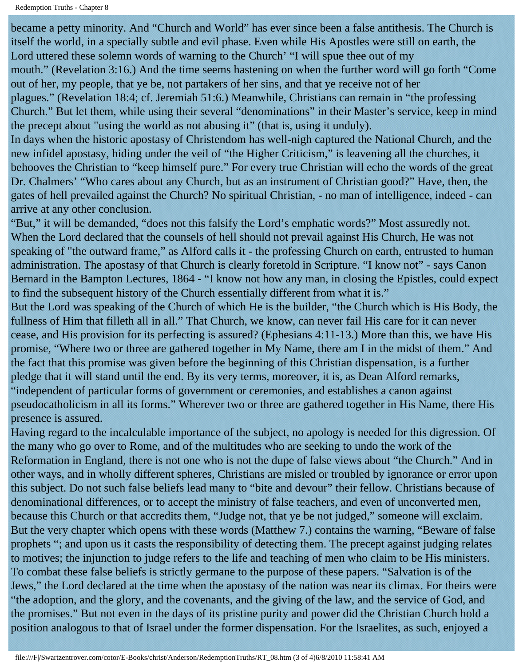became a petty minority. And "Church and World" has ever since been a false antithesis. The Church is itself the world, in a specially subtle and evil phase. Even while His Apostles were still on earth, the Lord uttered these solemn words of warning to the Church' "I will spue thee out of my mouth." (Revelation 3:16.) And the time seems hastening on when the further word will go forth "Come out of her, my people, that ye be, not partakers of her sins, and that ye receive not of her plagues." (Revelation 18:4; cf. Jeremiah 51:6.) Meanwhile, Christians can remain in "the professing Church." But let them, while using their several "denominations" in their Master's service, keep in mind the precept about "using the world as not abusing it" (that is, using it unduly). In days when the historic apostasy of Christendom has well-nigh captured the National Church, and the new infidel apostasy, hiding under the veil of "the Higher Criticism," is leavening all the churches, it behooves the Christian to "keep himself pure." For every true Christian will echo the words of the great Dr. Chalmers' "Who cares about any Church, but as an instrument of Christian good?" Have, then, the gates of hell prevailed against the Church? No spiritual Christian, - no man of intelligence, indeed - can

arrive at any other conclusion.

"But," it will be demanded, "does not this falsify the Lord's emphatic words?" Most assuredly not. When the Lord declared that the counsels of hell should not prevail against His Church, He was not speaking of "the outward frame," as Alford calls it - the professing Church on earth, entrusted to human administration. The apostasy of that Church is clearly foretold in Scripture. "I know not" - says Canon Bernard in the Bampton Lectures, 1864 - "I know not how any man, in closing the Epistles, could expect to find the subsequent history of the Church essentially different from what it is."

But the Lord was speaking of the Church of which He is the builder, "the Church which is His Body, the fullness of Him that filleth all in all." That Church, we know, can never fail His care for it can never cease, and His provision for its perfecting is assured? (Ephesians 4:11-13.) More than this, we have His promise, "Where two or three are gathered together in My Name, there am I in the midst of them." And the fact that this promise was given before the beginning of this Christian dispensation, is a further pledge that it will stand until the end. By its very terms, moreover, it is, as Dean Alford remarks, "independent of particular forms of government or ceremonies, and establishes a canon against pseudocatholicism in all its forms." Wherever two or three are gathered together in His Name, there His presence is assured.

Having regard to the incalculable importance of the subject, no apology is needed for this digression. Of the many who go over to Rome, and of the multitudes who are seeking to undo the work of the Reformation in England, there is not one who is not the dupe of false views about "the Church." And in other ways, and in wholly different spheres, Christians are misled or troubled by ignorance or error upon this subject. Do not such false beliefs lead many to "bite and devour" their fellow. Christians because of denominational differences, or to accept the ministry of false teachers, and even of unconverted men, because this Church or that accredits them, "Judge not, that ye be not judged," someone will exclaim. But the very chapter which opens with these words (Matthew 7.) contains the warning, "Beware of false prophets "; and upon us it casts the responsibility of detecting them. The precept against judging relates to motives; the injunction to judge refers to the life and teaching of men who claim to be His ministers. To combat these false beliefs is strictly germane to the purpose of these papers. "Salvation is of the Jews," the Lord declared at the time when the apostasy of the nation was near its climax. For theirs were "the adoption, and the glory, and the covenants, and the giving of the law, and the service of God, and the promises." But not even in the days of its pristine purity and power did the Christian Church hold a position analogous to that of Israel under the former dispensation. For the Israelites, as such, enjoyed a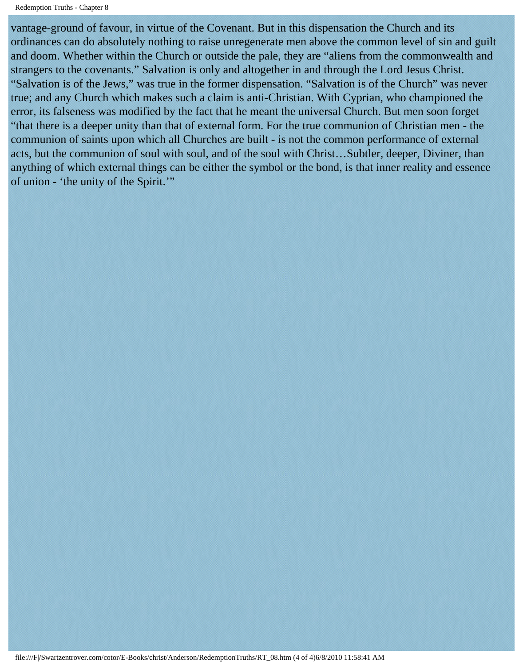vantage-ground of favour, in virtue of the Covenant. But in this dispensation the Church and its ordinances can do absolutely nothing to raise unregenerate men above the common level of sin and guilt and doom. Whether within the Church or outside the pale, they are "aliens from the commonwealth and strangers to the covenants." Salvation is only and altogether in and through the Lord Jesus Christ. "Salvation is of the Jews," was true in the former dispensation. "Salvation is of the Church" was never true; and any Church which makes such a claim is anti-Christian. With Cyprian, who championed the error, its falseness was modified by the fact that he meant the universal Church. But men soon forget "that there is a deeper unity than that of external form. For the true communion of Christian men - the communion of saints upon which all Churches are built - is not the common performance of external acts, but the communion of soul with soul, and of the soul with Christ…Subtler, deeper, Diviner, than anything of which external things can be either the symbol or the bond, is that inner reality and essence of union - 'the unity of the Spirit.'"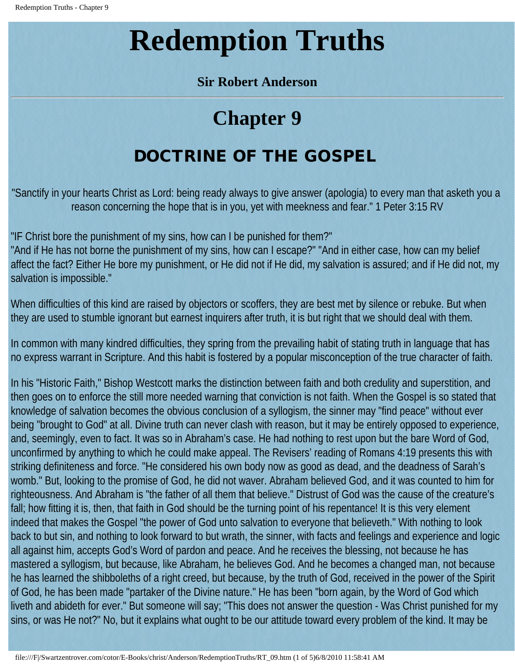#### **Sir Robert Anderson**

## **Chapter 9**

## DOCTRINE OF THE GOSPEL

<span id="page-31-0"></span>"Sanctify in your hearts Christ as Lord: being ready always to give answer (apologia) to every man that asketh you a reason concerning the hope that is in you, yet with meekness and fear." 1 Peter 3:15 RV

"IF Christ bore the punishment of my sins, how can I be punished for them?"

"And if He has not borne the punishment of my sins, how can I escape?" "And in either case, how can my belief affect the fact? Either He bore my punishment, or He did not if He did, my salvation is assured; and if He did not, my salvation is impossible."

When difficulties of this kind are raised by objectors or scoffers, they are best met by silence or rebuke. But when they are used to stumble ignorant but earnest inquirers after truth, it is but right that we should deal with them.

In common with many kindred difficulties, they spring from the prevailing habit of stating truth in language that has no express warrant in Scripture. And this habit is fostered by a popular misconception of the true character of faith.

In his "Historic Faith," Bishop Westcott marks the distinction between faith and both credulity and superstition, and then goes on to enforce the still more needed warning that conviction is not faith. When the Gospel is so stated that knowledge of salvation becomes the obvious conclusion of a syllogism, the sinner may "find peace" without ever being "brought to God" at all. Divine truth can never clash with reason, but it may be entirely opposed to experience, and, seemingly, even to fact. It was so in Abraham's case. He had nothing to rest upon but the bare Word of God, unconfirmed by anything to which he could make appeal. The Revisers' reading of Romans 4:19 presents this with striking definiteness and force. "He considered his own body now as good as dead, and the deadness of Sarah's womb." But, looking to the promise of God, he did not waver. Abraham believed God, and it was counted to him for righteousness. And Abraham is "the father of all them that believe." Distrust of God was the cause of the creature's fall; how fitting it is, then, that faith in God should be the turning point of his repentance! It is this very element indeed that makes the Gospel "the power of God unto salvation to everyone that believeth." With nothing to look back to but sin, and nothing to look forward to but wrath, the sinner, with facts and feelings and experience and logic all against him, accepts God's Word of pardon and peace. And he receives the blessing, not because he has mastered a syllogism, but because, like Abraham, he believes God. And he becomes a changed man, not because he has learned the shibboleths of a right creed, but because, by the truth of God, received in the power of the Spirit of God, he has been made "partaker of the Divine nature." He has been "born again, by the Word of God which liveth and abideth for ever." But someone will say; "This does not answer the question - Was Christ punished for my sins, or was He not?" No, but it explains what ought to be our attitude toward every problem of the kind. It may be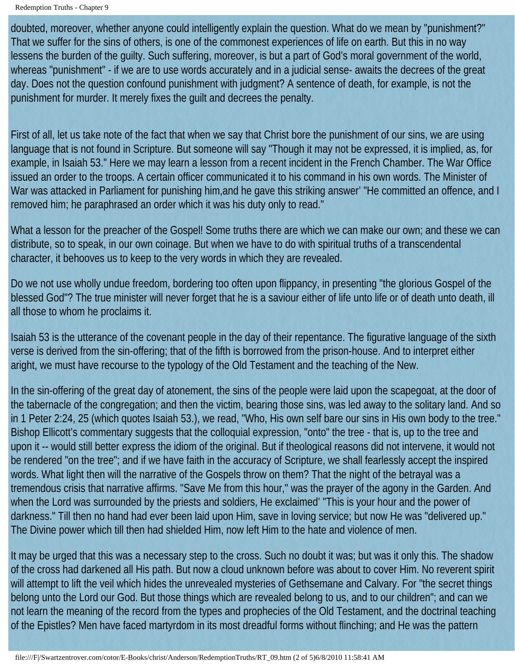doubted, moreover, whether anyone could intelligently explain the question. What do we mean by "punishment?" That we suffer for the sins of others, is one of the commonest experiences of life on earth. But this in no way lessens the burden of the guilty. Such suffering, moreover, is but a part of God's moral government of the world, whereas "punishment" - if we are to use words accurately and in a judicial sense- awaits the decrees of the great day. Does not the question confound punishment with judgment? A sentence of death, for example, is not the punishment for murder. It merely fixes the guilt and decrees the penalty.

First of all, let us take note of the fact that when we say that Christ bore the punishment of our sins, we are using language that is not found in Scripture. But someone will say "Though it may not be expressed, it is implied, as, for example, in Isaiah 53." Here we may learn a lesson from a recent incident in the French Chamber. The War Office issued an order to the troops. A certain officer communicated it to his command in his own words. The Minister of War was attacked in Parliament for punishing him,and he gave this striking answer' "He committed an offence, and I removed him; he paraphrased an order which it was his duty only to read."

What a lesson for the preacher of the Gospel! Some truths there are which we can make our own; and these we can distribute, so to speak, in our own coinage. But when we have to do with spiritual truths of a transcendental character, it behooves us to keep to the very words in which they are revealed.

Do we not use wholly undue freedom, bordering too often upon flippancy, in presenting "the glorious Gospel of the blessed God"? The true minister will never forget that he is a saviour either of life unto life or of death unto death, ill all those to whom he proclaims it.

Isaiah 53 is the utterance of the covenant people in the day of their repentance. The figurative language of the sixth verse is derived from the sin-offering; that of the fifth is borrowed from the prison-house. And to interpret either aright, we must have recourse to the typology of the Old Testament and the teaching of the New.

In the sin-offering of the great day of atonement, the sins of the people were laid upon the scapegoat, at the door of the tabernacle of the congregation; and then the victim, bearing those sins, was led away to the solitary land. And so in 1 Peter 2:24, 25 (which quotes Isaiah 53.), we read, "Who, His own self bare our sins in His own body to the tree." Bishop Ellicott's commentary suggests that the colloquial expression, "onto" the tree - that is, up to the tree and upon it -- would still better express the idiom of the original. But if theological reasons did not intervene, it would not be rendered "on the tree"; and if we have faith in the accuracy of Scripture, we shall fearlessly accept the inspired words. What light then will the narrative of the Gospels throw on them? That the night of the betrayal was a tremendous crisis that narrative affirms. "Save Me from this hour," was the prayer of the agony in the Garden. And when the Lord was surrounded by the priests and soldiers, He exclaimed' "This is your hour and the power of darkness." Till then no hand had ever been laid upon Him, save in loving service; but now He was "delivered up." The Divine power which till then had shielded Him, now left Him to the hate and violence of men.

It may be urged that this was a necessary step to the cross. Such no doubt it was; but was it only this. The shadow of the cross had darkened all His path. But now a cloud unknown before was about to cover Him. No reverent spirit will attempt to lift the veil which hides the unrevealed mysteries of Gethsemane and Calvary. For "the secret things belong unto the Lord our God. But those things which are revealed belong to us, and to our children"; and can we not learn the meaning of the record from the types and prophecies of the Old Testament, and the doctrinal teaching of the Epistles? Men have faced martyrdom in its most dreadful forms without flinching; and He was the pattern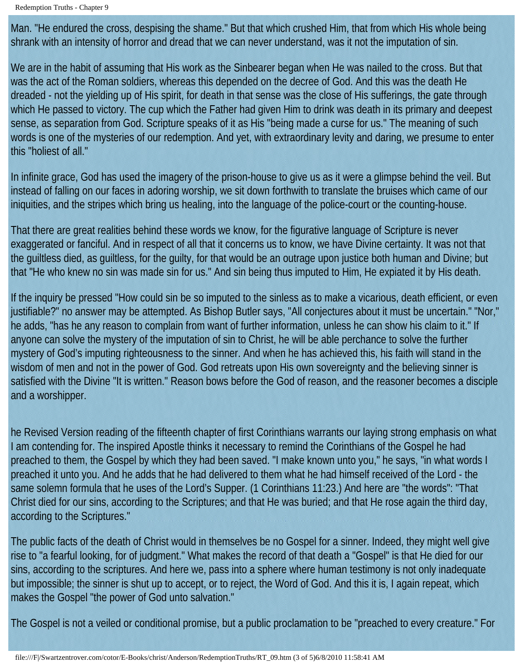Man. "He endured the cross, despising the shame." But that which crushed Him, that from which His whole being shrank with an intensity of horror and dread that we can never understand, was it not the imputation of sin.

We are in the habit of assuming that His work as the Sinbearer began when He was nailed to the cross. But that was the act of the Roman soldiers, whereas this depended on the decree of God. And this was the death He dreaded - not the yielding up of His spirit, for death in that sense was the close of His sufferings, the gate through which He passed to victory. The cup which the Father had given Him to drink was death in its primary and deepest sense, as separation from God. Scripture speaks of it as His "being made a curse for us." The meaning of such words is one of the mysteries of our redemption. And yet, with extraordinary levity and daring, we presume to enter this "holiest of all."

In infinite grace, God has used the imagery of the prison-house to give us as it were a glimpse behind the veil. But instead of falling on our faces in adoring worship, we sit down forthwith to translate the bruises which came of our iniquities, and the stripes which bring us healing, into the language of the police-court or the counting-house.

That there are great realities behind these words we know, for the figurative language of Scripture is never exaggerated or fanciful. And in respect of all that it concerns us to know, we have Divine certainty. It was not that the guiltless died, as guiltless, for the guilty, for that would be an outrage upon justice both human and Divine; but that "He who knew no sin was made sin for us." And sin being thus imputed to Him, He expiated it by His death.

If the inquiry be pressed "How could sin be so imputed to the sinless as to make a vicarious, death efficient, or even justifiable?" no answer may be attempted. As Bishop Butler says, "All conjectures about it must be uncertain." "Nor," he adds, "has he any reason to complain from want of further information, unless he can show his claim to it." If anyone can solve the mystery of the imputation of sin to Christ, he will be able perchance to solve the further mystery of God's imputing righteousness to the sinner. And when he has achieved this, his faith will stand in the wisdom of men and not in the power of God. God retreats upon His own sovereignty and the believing sinner is satisfied with the Divine "It is written." Reason bows before the God of reason, and the reasoner becomes a disciple and a worshipper.

he Revised Version reading of the fifteenth chapter of first Corinthians warrants our laying strong emphasis on what I am contending for. The inspired Apostle thinks it necessary to remind the Corinthians of the Gospel he had preached to them, the Gospel by which they had been saved. "I make known unto you," he says, "in what words I preached it unto you. And he adds that he had delivered to them what he had himself received of the Lord - the same solemn formula that he uses of the Lord's Supper. (1 Corinthians 11:23.) And here are "the words": "That Christ died for our sins, according to the Scriptures; and that He was buried; and that He rose again the third day, according to the Scriptures."

The public facts of the death of Christ would in themselves be no Gospel for a sinner. Indeed, they might well give rise to "a fearful looking, for of judgment." What makes the record of that death a "Gospel" is that He died for our sins, according to the scriptures. And here we, pass into a sphere where human testimony is not only inadequate but impossible; the sinner is shut up to accept, or to reject, the Word of God. And this it is, I again repeat, which makes the Gospel "the power of God unto salvation."

The Gospel is not a veiled or conditional promise, but a public proclamation to be "preached to every creature." For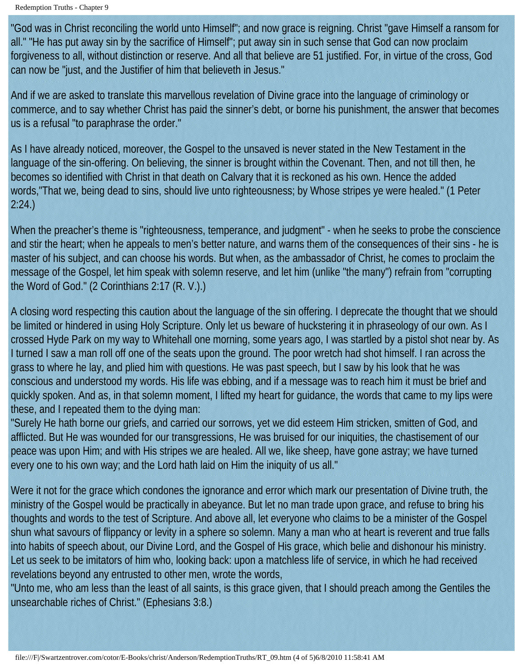"God was in Christ reconciling the world unto Himself"; and now grace is reigning. Christ "gave Himself a ransom for all." "He has put away sin by the sacrifice of Himself"; put away sin in such sense that God can now proclaim forgiveness to all, without distinction or reserve. And all that believe are 51 justified. For, in virtue of the cross, God can now be "just, and the Justifier of him that believeth in Jesus."

And if we are asked to translate this marvellous revelation of Divine grace into the language of criminology or commerce, and to say whether Christ has paid the sinner's debt, or borne his punishment, the answer that becomes us is a refusal "to paraphrase the order."

As I have already noticed, moreover, the Gospel to the unsaved is never stated in the New Testament in the language of the sin-offering. On believing, the sinner is brought within the Covenant. Then, and not till then, he becomes so identified with Christ in that death on Calvary that it is reckoned as his own. Hence the added words,"That we, being dead to sins, should live unto righteousness; by Whose stripes ye were healed." (1 Peter 2:24.)

When the preacher's theme is "righteousness, temperance, and judgment" - when he seeks to probe the conscience and stir the heart; when he appeals to men's better nature, and warns them of the consequences of their sins - he is master of his subject, and can choose his words. But when, as the ambassador of Christ, he comes to proclaim the message of the Gospel, let him speak with solemn reserve, and let him (unlike "the many") refrain from "corrupting the Word of God." (2 Corinthians 2:17 (R. V.).)

A closing word respecting this caution about the language of the sin offering. I deprecate the thought that we should be limited or hindered in using Holy Scripture. Only let us beware of huckstering it in phraseology of our own. As I crossed Hyde Park on my way to Whitehall one morning, some years ago, I was startled by a pistol shot near by. As I turned I saw a man roll off one of the seats upon the ground. The poor wretch had shot himself. I ran across the grass to where he lay, and plied him with questions. He was past speech, but I saw by his look that he was conscious and understood my words. His life was ebbing, and if a message was to reach him it must be brief and quickly spoken. And as, in that solemn moment, I lifted my heart for guidance, the words that came to my lips were these, and I repeated them to the dying man:

"Surely He hath borne our griefs, and carried our sorrows, yet we did esteem Him stricken, smitten of God, and afflicted. But He was wounded for our transgressions, He was bruised for our iniquities, the chastisement of our peace was upon Him; and with His stripes we are healed. All we, like sheep, have gone astray; we have turned every one to his own way; and the Lord hath laid on Him the iniquity of us all."

Were it not for the grace which condones the ignorance and error which mark our presentation of Divine truth, the ministry of the Gospel would be practically in abeyance. But let no man trade upon grace, and refuse to bring his thoughts and words to the test of Scripture. And above all, let everyone who claims to be a minister of the Gospel shun what savours of flippancy or levity in a sphere so solemn. Many a man who at heart is reverent and true falls into habits of speech about, our Divine Lord, and the Gospel of His grace, which belie and dishonour his ministry. Let us seek to be imitators of him who, looking back: upon a matchless life of service, in which he had received revelations beyond any entrusted to other men, wrote the words,

"Unto me, who am less than the least of all saints, is this grace given, that I should preach among the Gentiles the unsearchable riches of Christ." (Ephesians 3:8.)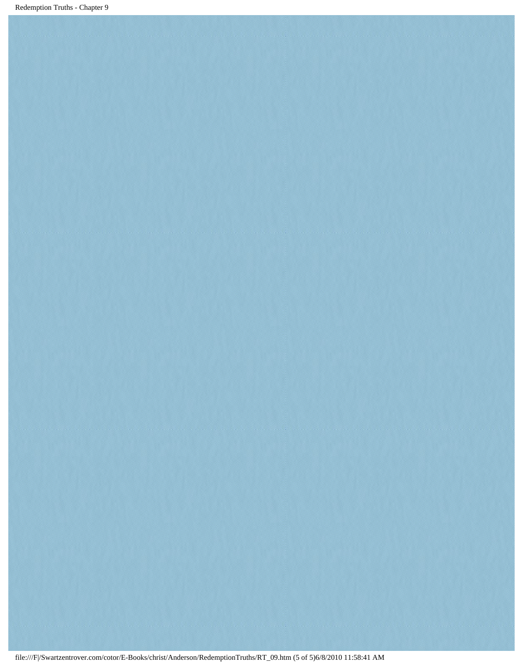file:///F|/Swartzentrover.com/cotor/E-Books/christ/Anderson/RedemptionTruths/RT\_09.htm (5 of 5)6/8/2010 11:58:41 AM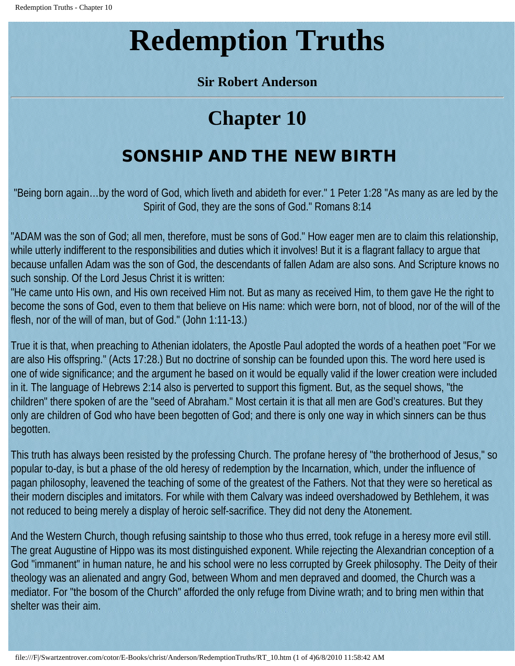#### **Sir Robert Anderson**

## **Chapter 10**

### SONSHIP AND THE NEW BIRTH

<span id="page-36-0"></span>"Being born again…by the word of God, which liveth and abideth for ever." 1 Peter 1:28 "As many as are led by the Spirit of God, they are the sons of God." Romans 8:14

"ADAM was the son of God; all men, therefore, must be sons of God." How eager men are to claim this relationship, while utterly indifferent to the responsibilities and duties which it involves! But it is a flagrant fallacy to argue that because unfallen Adam was the son of God, the descendants of fallen Adam are also sons. And Scripture knows no such sonship. Of the Lord Jesus Christ it is written:

"He came unto His own, and His own received Him not. But as many as received Him, to them gave He the right to become the sons of God, even to them that believe on His name: which were born, not of blood, nor of the will of the flesh, nor of the will of man, but of God." (John 1:11-13.)

True it is that, when preaching to Athenian idolaters, the Apostle Paul adopted the words of a heathen poet "For we are also His offspring." (Acts 17:28.) But no doctrine of sonship can be founded upon this. The word here used is one of wide significance; and the argument he based on it would be equally valid if the lower creation were included in it. The language of Hebrews 2:14 also is perverted to support this figment. But, as the sequel shows, "the children" there spoken of are the "seed of Abraham." Most certain it is that all men are God's creatures. But they only are children of God who have been begotten of God; and there is only one way in which sinners can be thus begotten.

This truth has always been resisted by the professing Church. The profane heresy of "the brotherhood of Jesus," so popular to-day, is but a phase of the old heresy of redemption by the Incarnation, which, under the influence of pagan philosophy, leavened the teaching of some of the greatest of the Fathers. Not that they were so heretical as their modern disciples and imitators. For while with them Calvary was indeed overshadowed by Bethlehem, it was not reduced to being merely a display of heroic self-sacrifice. They did not deny the Atonement.

And the Western Church, though refusing saintship to those who thus erred, took refuge in a heresy more evil still. The great Augustine of Hippo was its most distinguished exponent. While rejecting the Alexandrian conception of a God "immanent" in human nature, he and his school were no less corrupted by Greek philosophy. The Deity of their theology was an alienated and angry God, between Whom and men depraved and doomed, the Church was a mediator. For "the bosom of the Church" afforded the only refuge from Divine wrath; and to bring men within that shelter was their aim.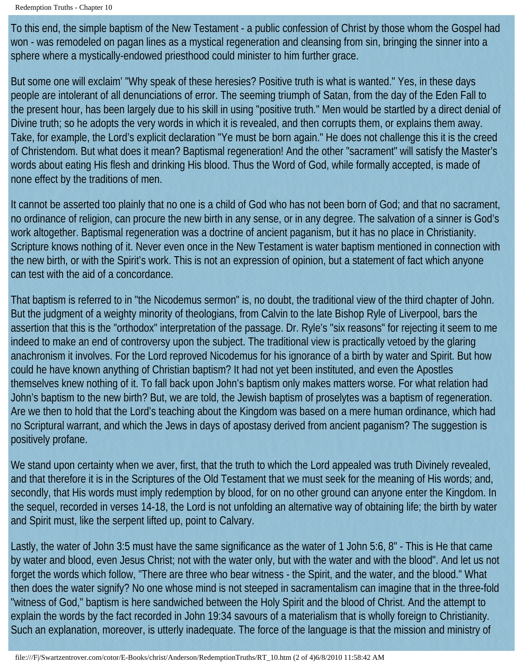To this end, the simple baptism of the New Testament - a public confession of Christ by those whom the Gospel had won - was remodeled on pagan lines as a mystical regeneration and cleansing from sin, bringing the sinner into a sphere where a mystically-endowed priesthood could minister to him further grace.

But some one will exclaim' "Why speak of these heresies? Positive truth is what is wanted." Yes, in these days people are intolerant of all denunciations of error. The seeming triumph of Satan, from the day of the Eden Fall to the present hour, has been largely due to his skill in using "positive truth." Men would be startled by a direct denial of Divine truth; so he adopts the very words in which it is revealed, and then corrupts them, or explains them away. Take, for example, the Lord's explicit declaration "Ye must be born again." He does not challenge this it is the creed of Christendom. But what does it mean? Baptismal regeneration! And the other "sacrament" will satisfy the Master's words about eating His flesh and drinking His blood. Thus the Word of God, while formally accepted, is made of none effect by the traditions of men.

It cannot be asserted too plainly that no one is a child of God who has not been born of God; and that no sacrament, no ordinance of religion, can procure the new birth in any sense, or in any degree. The salvation of a sinner is God's work altogether. Baptismal regeneration was a doctrine of ancient paganism, but it has no place in Christianity. Scripture knows nothing of it. Never even once in the New Testament is water baptism mentioned in connection with the new birth, or with the Spirit's work. This is not an expression of opinion, but a statement of fact which anyone can test with the aid of a concordance.

That baptism is referred to in "the Nicodemus sermon" is, no doubt, the traditional view of the third chapter of John. But the judgment of a weighty minority of theologians, from Calvin to the late Bishop Ryle of Liverpool, bars the assertion that this is the "orthodox" interpretation of the passage. Dr. Ryle's "six reasons" for rejecting it seem to me indeed to make an end of controversy upon the subject. The traditional view is practically vetoed by the glaring anachronism it involves. For the Lord reproved Nicodemus for his ignorance of a birth by water and Spirit. But how could he have known anything of Christian baptism? It had not yet been instituted, and even the Apostles themselves knew nothing of it. To fall back upon John's baptism only makes matters worse. For what relation had John's baptism to the new birth? But, we are told, the Jewish baptism of proselytes was a baptism of regeneration. Are we then to hold that the Lord's teaching about the Kingdom was based on a mere human ordinance, which had no Scriptural warrant, and which the Jews in days of apostasy derived from ancient paganism? The suggestion is positively profane.

We stand upon certainty when we aver, first, that the truth to which the Lord appealed was truth Divinely revealed, and that therefore it is in the Scriptures of the Old Testament that we must seek for the meaning of His words; and, secondly, that His words must imply redemption by blood, for on no other ground can anyone enter the Kingdom. In the sequel, recorded in verses 14-18, the Lord is not unfolding an alternative way of obtaining life; the birth by water and Spirit must, like the serpent lifted up, point to Calvary.

Lastly, the water of John 3:5 must have the same significance as the water of 1 John 5:6, 8" - This is He that came by water and blood, even Jesus Christ; not with the water only, but with the water and with the blood". And let us not forget the words which follow, "There are three who bear witness - the Spirit, and the water, and the blood." What then does the water signify? No one whose mind is not steeped in sacramentalism can imagine that in the three-fold "witness of God," baptism is here sandwiched between the Holy Spirit and the blood of Christ. And the attempt to explain the words by the fact recorded in John 19:34 savours of a materialism that is wholly foreign to Christianity. Such an explanation, moreover, is utterly inadequate. The force of the language is that the mission and ministry of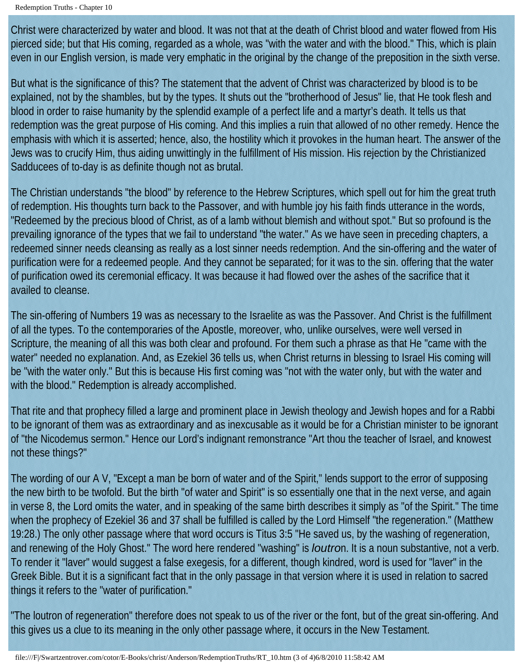Christ were characterized by water and blood. It was not that at the death of Christ blood and water flowed from His pierced side; but that His coming, regarded as a whole, was "with the water and with the blood." This, which is plain even in our English version, is made very emphatic in the original by the change of the preposition in the sixth verse.

But what is the significance of this? The statement that the advent of Christ was characterized by blood is to be explained, not by the shambles, but by the types. It shuts out the "brotherhood of Jesus" lie, that He took flesh and blood in order to raise humanity by the splendid example of a perfect life and a martyr's death. It tells us that redemption was the great purpose of His coming. And this implies a ruin that allowed of no other remedy. Hence the emphasis with which it is asserted; hence, also, the hostility which it provokes in the human heart. The answer of the Jews was to crucify Him, thus aiding unwittingly in the fulfillment of His mission. His rejection by the Christianized Sadducees of to-day is as definite though not as brutal.

The Christian understands "the blood" by reference to the Hebrew Scriptures, which spell out for him the great truth of redemption. His thoughts turn back to the Passover, and with humble joy his faith finds utterance in the words, "Redeemed by the precious blood of Christ, as of a lamb without blemish and without spot." But so profound is the prevailing ignorance of the types that we fail to understand "the water." As we have seen in preceding chapters, a redeemed sinner needs cleansing as really as a lost sinner needs redemption. And the sin-offering and the water of purification were for a redeemed people. And they cannot be separated; for it was to the sin. offering that the water of purification owed its ceremonial efficacy. It was because it had flowed over the ashes of the sacrifice that it availed to cleanse.

The sin-offering of Numbers 19 was as necessary to the Israelite as was the Passover. And Christ is the fulfillment of all the types. To the contemporaries of the Apostle, moreover, who, unlike ourselves, were well versed in Scripture, the meaning of all this was both clear and profound. For them such a phrase as that He "came with the water" needed no explanation. And, as Ezekiel 36 tells us, when Christ returns in blessing to Israel His coming will be "with the water only." But this is because His first coming was "not with the water only, but with the water and with the blood." Redemption is already accomplished.

That rite and that prophecy filled a large and prominent place in Jewish theology and Jewish hopes and for a Rabbi to be ignorant of them was as extraordinary and as inexcusable as it would be for a Christian minister to be ignorant of "the Nicodemus sermon." Hence our Lord's indignant remonstrance "Art thou the teacher of Israel, and knowest not these things?"

The wording of our A V, "Except a man be born of water and of the Spirit," lends support to the error of supposing the new birth to be twofold. But the birth "of water and Spirit" is so essentially one that in the next verse, and again in verse 8, the Lord omits the water, and in speaking of the same birth describes it simply as "of the Spirit." The time when the prophecy of Ezekiel 36 and 37 shall be fulfilled is called by the Lord Himself "the regeneration." (Matthew 19:28.) The only other passage where that word occurs is Titus 3:5 "He saved us, by the washing of regeneration, and renewing of the Holy Ghost." The word here rendered "washing" is *loutro*n. It is a noun substantive, not a verb. To render it "laver" would suggest a false exegesis, for a different, though kindred, word is used for "laver" in the Greek Bible. But it is a significant fact that in the only passage in that version where it is used in relation to sacred things it refers to the "water of purification."

"The loutron of regeneration" therefore does not speak to us of the river or the font, but of the great sin-offering. And this gives us a clue to its meaning in the only other passage where, it occurs in the New Testament.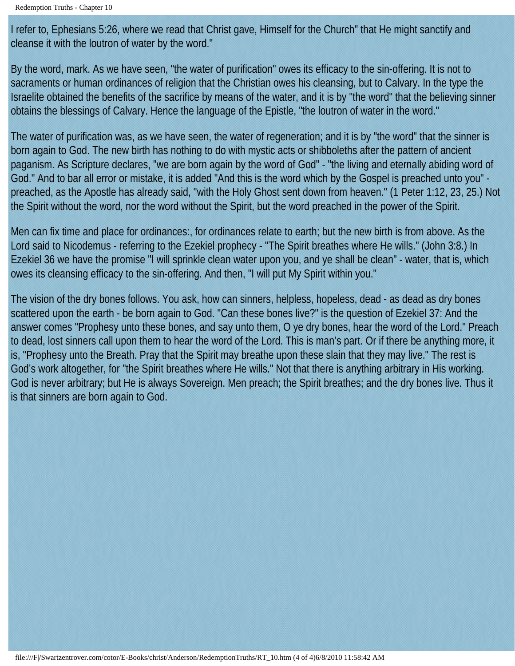I refer to, Ephesians 5:26, where we read that Christ gave, Himself for the Church" that He might sanctify and cleanse it with the loutron of water by the word."

By the word, mark. As we have seen, "the water of purification" owes its efficacy to the sin-offering. It is not to sacraments or human ordinances of religion that the Christian owes his cleansing, but to Calvary. In the type the Israelite obtained the benefits of the sacrifice by means of the water, and it is by "the word" that the believing sinner obtains the blessings of Calvary. Hence the language of the Epistle, "the loutron of water in the word."

The water of purification was, as we have seen, the water of regeneration; and it is by "the word" that the sinner is born again to God. The new birth has nothing to do with mystic acts or shibboleths after the pattern of ancient paganism. As Scripture declares, "we are born again by the word of God" - "the living and eternally abiding word of God." And to bar all error or mistake, it is added "And this is the word which by the Gospel is preached unto you" preached, as the Apostle has already said, "with the Holy Ghost sent down from heaven." (1 Peter 1:12, 23, 25.) Not the Spirit without the word, nor the word without the Spirit, but the word preached in the power of the Spirit.

Men can fix time and place for ordinances:, for ordinances relate to earth; but the new birth is from above. As the Lord said to Nicodemus - referring to the Ezekiel prophecy - "The Spirit breathes where He wills." (John 3:8.) In Ezekiel 36 we have the promise "I will sprinkle clean water upon you, and ye shall be clean" - water, that is, which owes its cleansing efficacy to the sin-offering. And then, "I will put My Spirit within you."

The vision of the dry bones follows. You ask, how can sinners, helpless, hopeless, dead - as dead as dry bones scattered upon the earth - be born again to God. "Can these bones live?" is the question of Ezekiel 37: And the answer comes "Prophesy unto these bones, and say unto them, O ye dry bones, hear the word of the Lord." Preach to dead, lost sinners call upon them to hear the word of the Lord. This is man's part. Or if there be anything more, it is, "Prophesy unto the Breath. Pray that the Spirit may breathe upon these slain that they may live." The rest is God's work altogether, for "the Spirit breathes where He wills." Not that there is anything arbitrary in His working. God is never arbitrary; but He is always Sovereign. Men preach; the Spirit breathes; and the dry bones live. Thus it is that sinners are born again to God.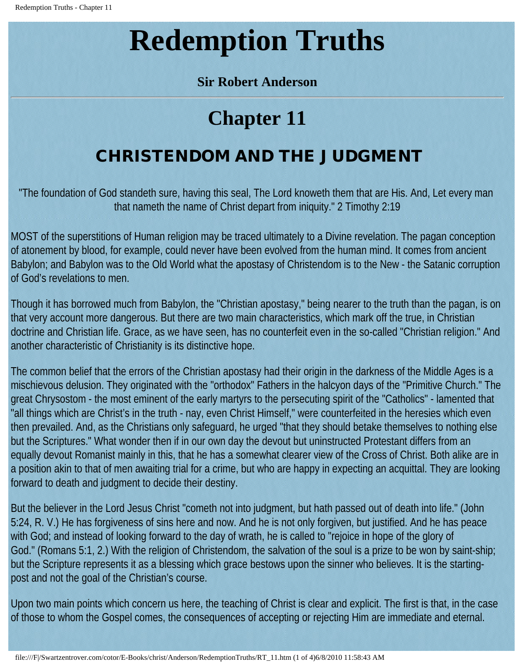### **Sir Robert Anderson**

## **Chapter 11**

### <span id="page-40-0"></span>CHRISTENDOM AND THE JUDGMENT

"The foundation of God standeth sure, having this seal, The Lord knoweth them that are His. And, Let every man that nameth the name of Christ depart from iniquity." 2 Timothy 2:19

MOST of the superstitions of Human religion may be traced ultimately to a Divine revelation. The pagan conception of atonement by blood, for example, could never have been evolved from the human mind. It comes from ancient Babylon; and Babylon was to the Old World what the apostasy of Christendom is to the New - the Satanic corruption of God's revelations to men.

Though it has borrowed much from Babylon, the "Christian apostasy," being nearer to the truth than the pagan, is on that very account more dangerous. But there are two main characteristics, which mark off the true, in Christian doctrine and Christian life. Grace, as we have seen, has no counterfeit even in the so-called "Christian religion." And another characteristic of Christianity is its distinctive hope.

The common belief that the errors of the Christian apostasy had their origin in the darkness of the Middle Ages is a mischievous delusion. They originated with the "orthodox" Fathers in the halcyon days of the "Primitive Church." The great Chrysostom - the most eminent of the early martyrs to the persecuting spirit of the "Catholics" - lamented that "all things which are Christ's in the truth - nay, even Christ Himself," were counterfeited in the heresies which even then prevailed. And, as the Christians only safeguard, he urged "that they should betake themselves to nothing else but the Scriptures." What wonder then if in our own day the devout but uninstructed Protestant differs from an equally devout Romanist mainly in this, that he has a somewhat clearer view of the Cross of Christ. Both alike are in a position akin to that of men awaiting trial for a crime, but who are happy in expecting an acquittal. They are looking forward to death and judgment to decide their destiny.

But the believer in the Lord Jesus Christ "cometh not into judgment, but hath passed out of death into life." (John 5:24, R. V.) He has forgiveness of sins here and now. And he is not only forgiven, but justified. And he has peace with God; and instead of looking forward to the day of wrath, he is called to "rejoice in hope of the glory of God." (Romans 5:1, 2.) With the religion of Christendom, the salvation of the soul is a prize to be won by saint-ship; but the Scripture represents it as a blessing which grace bestows upon the sinner who believes. It is the startingpost and not the goal of the Christian's course.

Upon two main points which concern us here, the teaching of Christ is clear and explicit. The first is that, in the case of those to whom the Gospel comes, the consequences of accepting or rejecting Him are immediate and eternal.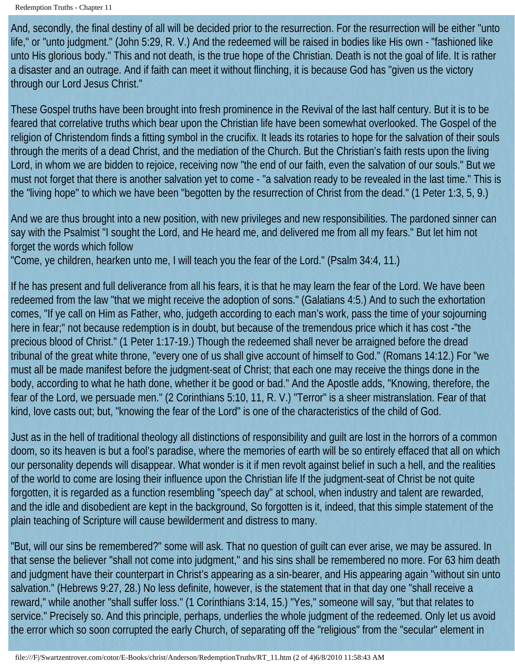And, secondly, the final destiny of all will be decided prior to the resurrection. For the resurrection will be either "unto life," or "unto judgment." (John 5:29, R. V.) And the redeemed will be raised in bodies like His own - "fashioned like unto His glorious body." This and not death, is the true hope of the Christian. Death is not the goal of life. It is rather a disaster and an outrage. And if faith can meet it without flinching, it is because God has "given us the victory through our Lord Jesus Christ."

These Gospel truths have been brought into fresh prominence in the Revival of the last half century. But it is to be feared that correlative truths which bear upon the Christian life have been somewhat overlooked. The Gospel of the religion of Christendom finds a fitting symbol in the crucifix. It leads its rotaries to hope for the salvation of their souls through the merits of a dead Christ, and the mediation of the Church. But the Christian's faith rests upon the living Lord, in whom we are bidden to rejoice, receiving now "the end of our faith, even the salvation of our souls." But we must not forget that there is another salvation yet to come - "a salvation ready to be revealed in the last time." This is the "living hope" to which we have been "begotten by the resurrection of Christ from the dead." (1 Peter 1:3, 5, 9.)

And we are thus brought into a new position, with new privileges and new responsibilities. The pardoned sinner can say with the Psalmist "I sought the Lord, and He heard me, and delivered me from all my fears." But let him not forget the words which follow

"Come, ye children, hearken unto me, I will teach you the fear of the Lord." (Psalm 34:4, 11.)

If he has present and full deliverance from all his fears, it is that he may learn the fear of the Lord. We have been redeemed from the law "that we might receive the adoption of sons." (Galatians 4:5.) And to such the exhortation comes, "If ye call on Him as Father, who, judgeth according to each man's work, pass the time of your sojourning here in fear;" not because redemption is in doubt, but because of the tremendous price which it has cost -"the precious blood of Christ." (1 Peter 1:17-19.) Though the redeemed shall never be arraigned before the dread tribunal of the great white throne, "every one of us shall give account of himself to God." (Romans 14:12.) For "we must all be made manifest before the judgment-seat of Christ; that each one may receive the things done in the body, according to what he hath done, whether it be good or bad." And the Apostle adds, "Knowing, therefore, the fear of the Lord, we persuade men." (2 Corinthians 5:10, 11, R. V.) "Terror" is a sheer mistranslation. Fear of that kind, love casts out; but, "knowing the fear of the Lord" is one of the characteristics of the child of God.

Just as in the hell of traditional theology all distinctions of responsibility and guilt are lost in the horrors of a common doom, so its heaven is but a fool's paradise, where the memories of earth will be so entirely effaced that all on which our personality depends will disappear. What wonder is it if men revolt against belief in such a hell, and the realities of the world to come are losing their influence upon the Christian life If the judgment-seat of Christ be not quite forgotten, it is regarded as a function resembling "speech day" at school, when industry and talent are rewarded, and the idle and disobedient are kept in the background, So forgotten is it, indeed, that this simple statement of the plain teaching of Scripture will cause bewilderment and distress to many.

"But, will our sins be remembered?" some will ask. That no question of guilt can ever arise, we may be assured. In that sense the believer "shall not come into judgment," and his sins shall be remembered no more. For 63 him death and judgment have their counterpart in Christ's appearing as a sin-bearer, and His appearing again "without sin unto salvation." (Hebrews 9:27, 28.) No less definite, however, is the statement that in that day one "shall receive a reward," while another "shall suffer loss." (1 Corinthians 3:14, 15.) "Yes," someone will say, "but that relates to service." Precisely so. And this principle, perhaps, underlies the whole judgment of the redeemed. Only let us avoid the error which so soon corrupted the early Church, of separating off the "religious" from the "secular" element in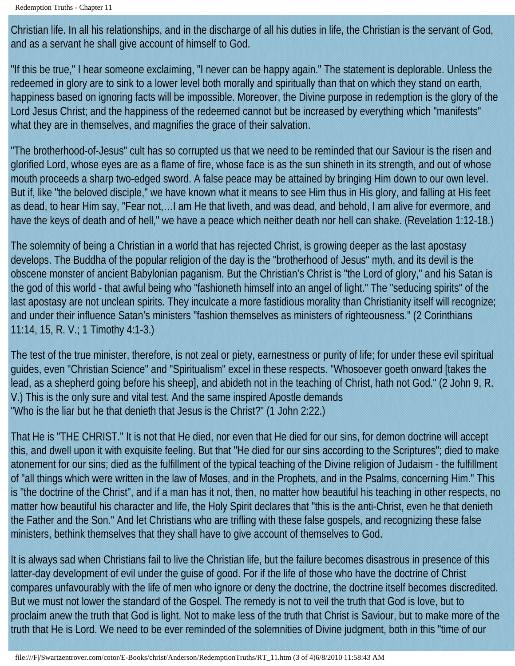Christian life. In all his relationships, and in the discharge of all his duties in life, the Christian is the servant of God, and as a servant he shall give account of himself to God.

"If this be true," I hear someone exclaiming, "I never can be happy again." The statement is deplorable. Unless the redeemed in glory are to sink to a lower level both morally and spiritually than that on which they stand on earth, happiness based on ignoring facts will be impossible. Moreover, the Divine purpose in redemption is the glory of the Lord Jesus Christ; and the happiness of the redeemed cannot but be increased by everything which "manifests" what they are in themselves, and magnifies the grace of their salvation.

"The brotherhood-of-Jesus" cult has so corrupted us that we need to be reminded that our Saviour is the risen and glorified Lord, whose eyes are as a flame of fire, whose face is as the sun shineth in its strength, and out of whose mouth proceeds a sharp two-edged sword. A false peace may be attained by bringing Him down to our own level. But if, like "the beloved disciple," we have known what it means to see Him thus in His glory, and falling at His feet as dead, to hear Him say, "Fear not,…I am He that liveth, and was dead, and behold, I am alive for evermore, and have the keys of death and of hell," we have a peace which neither death nor hell can shake. (Revelation 1:12-18.)

The solemnity of being a Christian in a world that has rejected Christ, is growing deeper as the last apostasy develops. The Buddha of the popular religion of the day is the "brotherhood of Jesus" myth, and its devil is the obscene monster of ancient Babylonian paganism. But the Christian's Christ is "the Lord of glory," and his Satan is the god of this world - that awful being who "fashioneth himself into an angel of light." The "seducing spirits" of the last apostasy are not unclean spirits. They inculcate a more fastidious morality than Christianity itself will recognize; and under their influence Satan's ministers "fashion themselves as ministers of righteousness." (2 Corinthians 11:14, 15, R. V.; 1 Timothy 4:1-3.)

The test of the true minister, therefore, is not zeal or piety, earnestness or purity of life; for under these evil spiritual guides, even "Christian Science" and "Spiritualism" excel in these respects. "Whosoever goeth onward [takes the lead, as a shepherd going before his sheep], and abideth not in the teaching of Christ, hath not God." (2 John 9, R. V.) This is the only sure and vital test. And the same inspired Apostle demands "Who is the liar but he that denieth that Jesus is the Christ?" (1 John 2:22.)

That He is "THE CHRIST." It is not that He died, nor even that He died for our sins, for demon doctrine will accept this, and dwell upon it with exquisite feeling. But that "He died for our sins according to the Scriptures"; died to make atonement for our sins; died as the fulfillment of the typical teaching of the Divine religion of Judaism - the fulfillment of "all things which were written in the law of Moses, and in the Prophets, and in the Psalms, concerning Him." This is "the doctrine of the Christ", and if a man has it not, then, no matter how beautiful his teaching in other respects, no matter how beautiful his character and life, the Holy Spirit declares that "this is the anti-Christ, even he that denieth the Father and the Son." And let Christians who are trifling with these false gospels, and recognizing these false ministers, bethink themselves that they shall have to give account of themselves to God.

It is always sad when Christians fail to live the Christian life, but the failure becomes disastrous in presence of this latter-day development of evil under the guise of good. For if the life of those who have the doctrine of Christ compares unfavourably with the life of men who ignore or deny the doctrine, the doctrine itself becomes discredited. But we must not lower the standard of the Gospel. The remedy is not to veil the truth that God is love, but to proclaim anew the truth that God is light. Not to make less of the truth that Christ is Saviour, but to make more of the truth that He is Lord. We need to be ever reminded of the solemnities of Divine judgment, both in this "time of our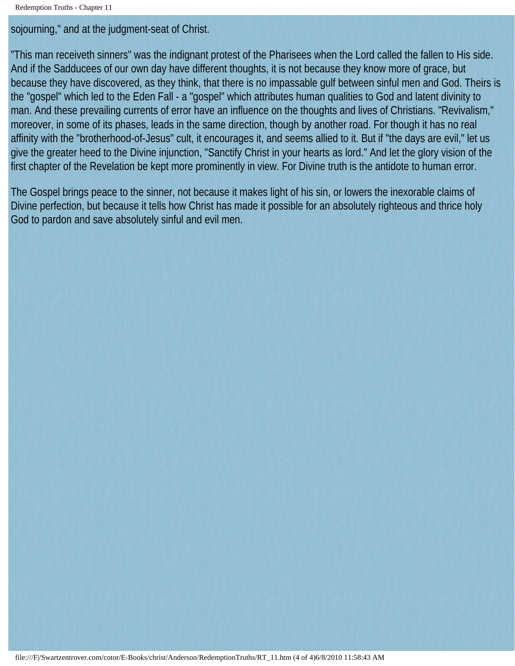sojourning," and at the judgment-seat of Christ.

"This man receiveth sinners" was the indignant protest of the Pharisees when the Lord called the fallen to His side. And if the Sadducees of our own day have different thoughts, it is not because they know more of grace, but because they have discovered, as they think, that there is no impassable gulf between sinful men and God. Theirs is the "gospel" which led to the Eden Fall - a "gospel" which attributes human qualities to God and latent divinity to man. And these prevailing currents of error have an influence on the thoughts and lives of Christians. "Revivalism," moreover, in some of its phases, leads in the same direction, though by another road. For though it has no real affinity with the "brotherhood-of-Jesus" cult, it encourages it, and seems allied to it. But if "the days are evil," let us give the greater heed to the Divine injunction, "Sanctify Christ in your hearts as lord." And let the glory vision of the first chapter of the Revelation be kept more prominently in view. For Divine truth is the antidote to human error.

The Gospel brings peace to the sinner, not because it makes light of his sin, or lowers the inexorable claims of Divine perfection, but because it tells how Christ has made it possible for an absolutely righteous and thrice holy God to pardon and save absolutely sinful and evil men.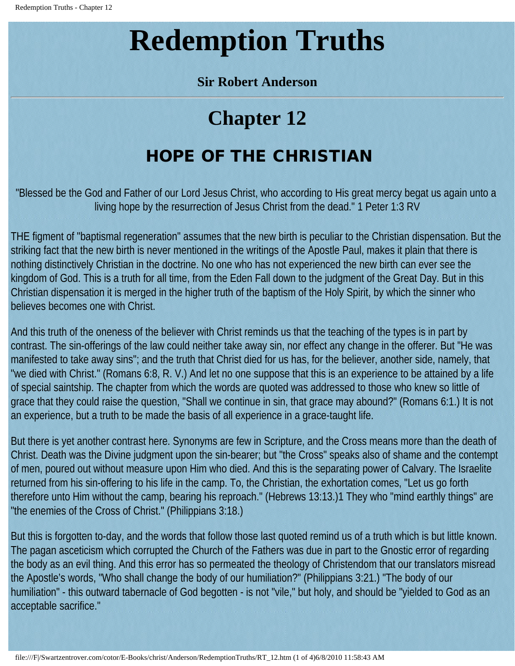#### **Sir Robert Anderson**

## **Chapter 12**

## HOPE OF THE CHRISTIAN

<span id="page-44-0"></span>"Blessed be the God and Father of our Lord Jesus Christ, who according to His great mercy begat us again unto a living hope by the resurrection of Jesus Christ from the dead." 1 Peter 1:3 RV

THE figment of "baptismal regeneration" assumes that the new birth is peculiar to the Christian dispensation. But the striking fact that the new birth is never mentioned in the writings of the Apostle Paul, makes it plain that there is nothing distinctively Christian in the doctrine. No one who has not experienced the new birth can ever see the kingdom of God. This is a truth for all time, from the Eden Fall down to the judgment of the Great Day. But in this Christian dispensation it is merged in the higher truth of the baptism of the Holy Spirit, by which the sinner who believes becomes one with Christ.

And this truth of the oneness of the believer with Christ reminds us that the teaching of the types is in part by contrast. The sin-offerings of the law could neither take away sin, nor effect any change in the offerer. But "He was manifested to take away sins"; and the truth that Christ died for us has, for the believer, another side, namely, that "we died with Christ." (Romans 6:8, R. V.) And let no one suppose that this is an experience to be attained by a life of special saintship. The chapter from which the words are quoted was addressed to those who knew so little of grace that they could raise the question, "Shall we continue in sin, that grace may abound?" (Romans 6:1.) It is not an experience, but a truth to be made the basis of all experience in a grace-taught life.

But there is yet another contrast here. Synonyms are few in Scripture, and the Cross means more than the death of Christ. Death was the Divine judgment upon the sin-bearer; but "the Cross" speaks also of shame and the contempt of men, poured out without measure upon Him who died. And this is the separating power of Calvary. The Israelite returned from his sin-offering to his life in the camp. To, the Christian, the exhortation comes, "Let us go forth therefore unto Him without the camp, bearing his reproach." (Hebrews 13:13.)1 They who "mind earthly things" are "the enemies of the Cross of Christ." (Philippians 3:18.)

But this is forgotten to-day, and the words that follow those last quoted remind us of a truth which is but little known. The pagan asceticism which corrupted the Church of the Fathers was due in part to the Gnostic error of regarding the body as an evil thing. And this error has so permeated the theology of Christendom that our translators misread the Apostle's words, "Who shall change the body of our humiliation?" (Philippians 3:21.) "The body of our humiliation" - this outward tabernacle of God begotten - is not "vile," but holy, and should be "yielded to God as an acceptable sacrifice."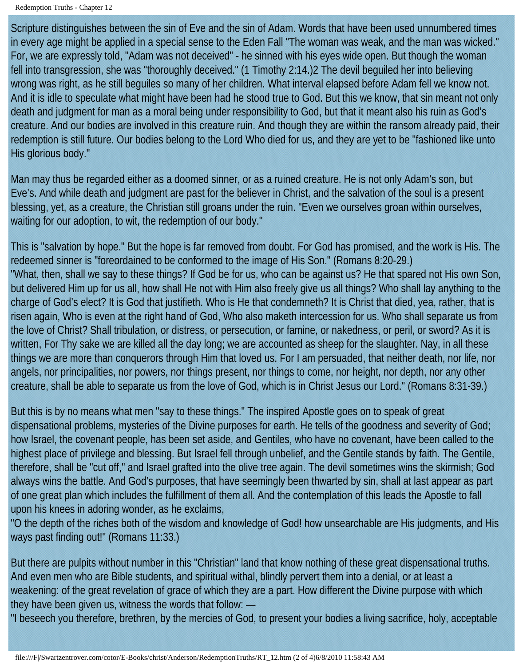Scripture distinguishes between the sin of Eve and the sin of Adam. Words that have been used unnumbered times in every age might be applied in a special sense to the Eden Fall "The woman was weak, and the man was wicked." For, we are expressly told, "Adam was not deceived" - he sinned with his eyes wide open. But though the woman fell into transgression, she was "thoroughly deceived." (1 Timothy 2:14.)2 The devil beguiled her into believing wrong was right, as he still beguiles so many of her children. What interval elapsed before Adam fell we know not. And it is idle to speculate what might have been had he stood true to God. But this we know, that sin meant not only death and judgment for man as a moral being under responsibility to God, but that it meant also his ruin as God's creature. And our bodies are involved in this creature ruin. And though they are within the ransom already paid, their redemption is still future. Our bodies belong to the Lord Who died for us, and they are yet to be "fashioned like unto His glorious body."

Man may thus be regarded either as a doomed sinner, or as a ruined creature. He is not only Adam's son, but Eve's. And while death and judgment are past for the believer in Christ, and the salvation of the soul is a present blessing, yet, as a creature, the Christian still groans under the ruin. "Even we ourselves groan within ourselves, waiting for our adoption, to wit, the redemption of our body."

This is "salvation by hope." But the hope is far removed from doubt. For God has promised, and the work is His. The redeemed sinner is "foreordained to be conformed to the image of His Son." (Romans 8:20-29.) "What, then, shall we say to these things? If God be for us, who can be against us? He that spared not His own Son, but delivered Him up for us all, how shall He not with Him also freely give us all things? Who shall lay anything to the charge of God's elect? It is God that justifieth. Who is He that condemneth? It is Christ that died, yea, rather, that is risen again, Who is even at the right hand of God, Who also maketh intercession for us. Who shall separate us from the love of Christ? Shall tribulation, or distress, or persecution, or famine, or nakedness, or peril, or sword? As it is written, For Thy sake we are killed all the day long; we are accounted as sheep for the slaughter. Nay, in all these things we are more than conquerors through Him that loved us. For I am persuaded, that neither death, nor life, nor angels, nor principalities, nor powers, nor things present, nor things to come, nor height, nor depth, nor any other creature, shall be able to separate us from the love of God, which is in Christ Jesus our Lord." (Romans 8:31-39.)

But this is by no means what men "say to these things." The inspired Apostle goes on to speak of great dispensational problems, mysteries of the Divine purposes for earth. He tells of the goodness and severity of God; how Israel, the covenant people, has been set aside, and Gentiles, who have no covenant, have been called to the highest place of privilege and blessing. But Israel fell through unbelief, and the Gentile stands by faith. The Gentile, therefore, shall be "cut off," and Israel grafted into the olive tree again. The devil sometimes wins the skirmish; God always wins the battle. And God's purposes, that have seemingly been thwarted by sin, shall at last appear as part of one great plan which includes the fulfillment of them all. And the contemplation of this leads the Apostle to fall upon his knees in adoring wonder, as he exclaims,

"O the depth of the riches both of the wisdom and knowledge of God! how unsearchable are His judgments, and His ways past finding out!" (Romans 11:33.)

But there are pulpits without number in this "Christian" land that know nothing of these great dispensational truths. And even men who are Bible students, and spiritual withal, blindly pervert them into a denial, or at least a weakening: of the great revelation of grace of which they are a part. How different the Divine purpose with which they have been given us, witness the words that follow: —

"I beseech you therefore, brethren, by the mercies of God, to present your bodies a living sacrifice, holy, acceptable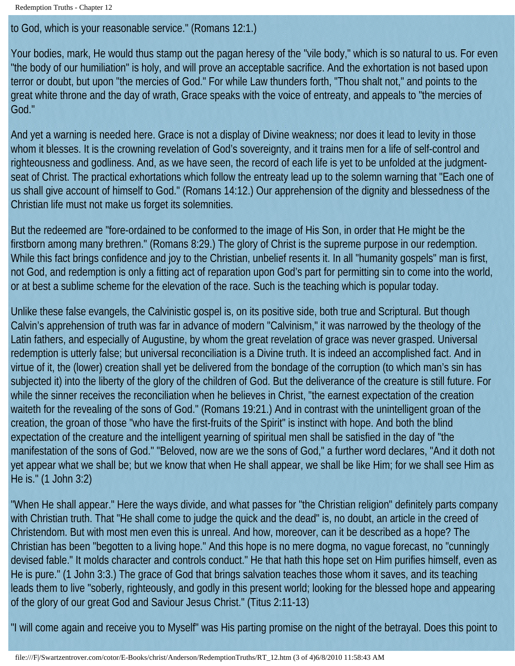to God, which is your reasonable service." (Romans 12:1.)

Your bodies, mark, He would thus stamp out the pagan heresy of the "vile body," which is so natural to us. For even "the body of our humiliation" is holy, and will prove an acceptable sacrifice. And the exhortation is not based upon terror or doubt, but upon "the mercies of God." For while Law thunders forth, "Thou shalt not," and points to the great white throne and the day of wrath, Grace speaks with the voice of entreaty, and appeals to "the mercies of God."

And yet a warning is needed here. Grace is not a display of Divine weakness; nor does it lead to levity in those whom it blesses. It is the crowning revelation of God's sovereignty, and it trains men for a life of self-control and righteousness and godliness. And, as we have seen, the record of each life is yet to be unfolded at the judgmentseat of Christ. The practical exhortations which follow the entreaty lead up to the solemn warning that "Each one of us shall give account of himself to God." (Romans 14:12.) Our apprehension of the dignity and blessedness of the Christian life must not make us forget its solemnities.

But the redeemed are "fore-ordained to be conformed to the image of His Son, in order that He might be the firstborn among many brethren." (Romans 8:29.) The glory of Christ is the supreme purpose in our redemption. While this fact brings confidence and joy to the Christian, unbelief resents it. In all "humanity gospels" man is first, not God, and redemption is only a fitting act of reparation upon God's part for permitting sin to come into the world, or at best a sublime scheme for the elevation of the race. Such is the teaching which is popular today.

Unlike these false evangels, the Calvinistic gospel is, on its positive side, both true and Scriptural. But though Calvin's apprehension of truth was far in advance of modern "Calvinism," it was narrowed by the theology of the Latin fathers, and especially of Augustine, by whom the great revelation of grace was never grasped. Universal redemption is utterly false; but universal reconciliation is a Divine truth. It is indeed an accomplished fact. And in virtue of it, the (lower) creation shall yet be delivered from the bondage of the corruption (to which man's sin has subjected it) into the liberty of the glory of the children of God. But the deliverance of the creature is still future. For while the sinner receives the reconciliation when he believes in Christ, "the earnest expectation of the creation waiteth for the revealing of the sons of God." (Romans 19:21.) And in contrast with the unintelligent groan of the creation, the groan of those "who have the first-fruits of the Spirit" is instinct with hope. And both the blind expectation of the creature and the intelligent yearning of spiritual men shall be satisfied in the day of "the manifestation of the sons of God." "Beloved, now are we the sons of God," a further word declares, "And it doth not yet appear what we shall be; but we know that when He shall appear, we shall be like Him; for we shall see Him as He is." (1 John 3:2)

"When He shall appear." Here the ways divide, and what passes for "the Christian religion" definitely parts company with Christian truth. That "He shall come to judge the quick and the dead" is, no doubt, an article in the creed of Christendom. But with most men even this is unreal. And how, moreover, can it be described as a hope? The Christian has been "begotten to a living hope." And this hope is no mere dogma, no vague forecast, no "cunningly devised fable." It molds character and controls conduct." He that hath this hope set on Him purifies himself, even as He is pure." (1 John 3:3.) The grace of God that brings salvation teaches those whom it saves, and its teaching leads them to live "soberly, righteously, and godly in this present world; looking for the blessed hope and appearing of the glory of our great God and Saviour Jesus Christ." (Titus 2:11-13)

"I will come again and receive you to Myself" was His parting promise on the night of the betrayal. Does this point to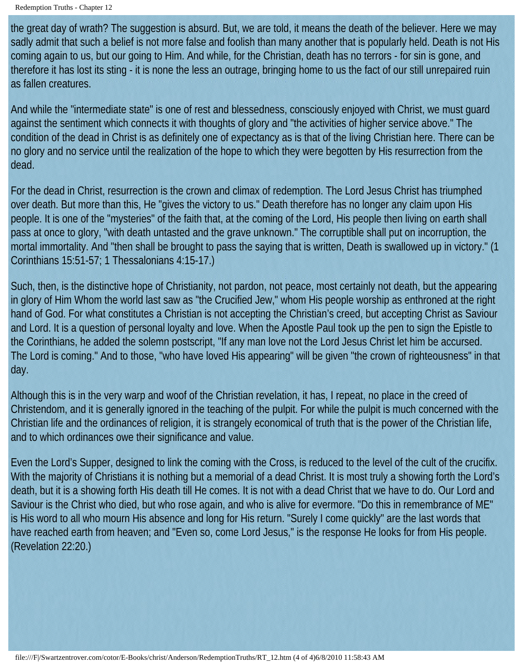the great day of wrath? The suggestion is absurd. But, we are told, it means the death of the believer. Here we may sadly admit that such a belief is not more false and foolish than many another that is popularly held. Death is not His coming again to us, but our going to Him. And while, for the Christian, death has no terrors - for sin is gone, and therefore it has lost its sting - it is none the less an outrage, bringing home to us the fact of our still unrepaired ruin as fallen creatures.

And while the "intermediate state" is one of rest and blessedness, consciously enjoyed with Christ, we must guard against the sentiment which connects it with thoughts of glory and "the activities of higher service above." The condition of the dead in Christ is as definitely one of expectancy as is that of the living Christian here. There can be no glory and no service until the realization of the hope to which they were begotten by His resurrection from the dead.

For the dead in Christ, resurrection is the crown and climax of redemption. The Lord Jesus Christ has triumphed over death. But more than this, He "gives the victory to us." Death therefore has no longer any claim upon His people. It is one of the "mysteries" of the faith that, at the coming of the Lord, His people then living on earth shall pass at once to glory, "with death untasted and the grave unknown." The corruptible shall put on incorruption, the mortal immortality. And "then shall be brought to pass the saying that is written, Death is swallowed up in victory." (1 Corinthians 15:51-57; 1 Thessalonians 4:15-17.)

Such, then, is the distinctive hope of Christianity, not pardon, not peace, most certainly not death, but the appearing in glory of Him Whom the world last saw as "the Crucified Jew," whom His people worship as enthroned at the right hand of God. For what constitutes a Christian is not accepting the Christian's creed, but accepting Christ as Saviour and Lord. It is a question of personal loyalty and love. When the Apostle Paul took up the pen to sign the Epistle to the Corinthians, he added the solemn postscript, "If any man love not the Lord Jesus Christ let him be accursed. The Lord is coming." And to those, "who have loved His appearing" will be given "the crown of righteousness" in that day.

Although this is in the very warp and woof of the Christian revelation, it has, I repeat, no place in the creed of Christendom, and it is generally ignored in the teaching of the pulpit. For while the pulpit is much concerned with the Christian life and the ordinances of religion, it is strangely economical of truth that is the power of the Christian life, and to which ordinances owe their significance and value.

Even the Lord's Supper, designed to link the coming with the Cross, is reduced to the level of the cult of the crucifix. With the majority of Christians it is nothing but a memorial of a dead Christ. It is most truly a showing forth the Lord's death, but it is a showing forth His death till He comes. It is not with a dead Christ that we have to do. Our Lord and Saviour is the Christ who died, but who rose again, and who is alive for evermore. "Do this in remembrance of ME" is His word to all who mourn His absence and long for His return. "Surely I come quickly" are the last words that have reached earth from heaven; and "Even so, come Lord Jesus," is the response He looks for from His people. (Revelation 22:20.)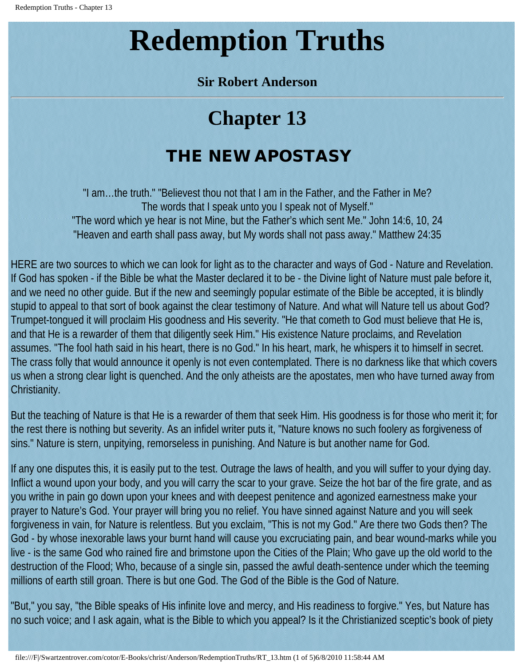#### **Sir Robert Anderson**

## **Chapter 13**

### THE NEW APOSTASY

<span id="page-48-0"></span>"I am…the truth." "Believest thou not that I am in the Father, and the Father in Me? The words that I speak unto you I speak not of Myself." "The word which ye hear is not Mine, but the Father's which sent Me." John 14:6, 10, 24 "Heaven and earth shall pass away, but My words shall not pass away." Matthew 24:35

HERE are two sources to which we can look for light as to the character and ways of God - Nature and Revelation. If God has spoken - if the Bible be what the Master declared it to be - the Divine light of Nature must pale before it, and we need no other guide. But if the new and seemingly popular estimate of the Bible be accepted, it is blindly stupid to appeal to that sort of book against the clear testimony of Nature. And what will Nature tell us about God? Trumpet-tongued it will proclaim His goodness and His severity. "He that cometh to God must believe that He is, and that He is a rewarder of them that diligently seek Him." His existence Nature proclaims, and Revelation assumes. "The fool hath said in his heart, there is no God." In his heart, mark, he whispers it to himself in secret. The crass folly that would announce it openly is not even contemplated. There is no darkness like that which covers us when a strong clear light is quenched. And the only atheists are the apostates, men who have turned away from Christianity.

But the teaching of Nature is that He is a rewarder of them that seek Him. His goodness is for those who merit it; for the rest there is nothing but severity. As an infidel writer puts it, "Nature knows no such foolery as forgiveness of sins." Nature is stern, unpitying, remorseless in punishing. And Nature is but another name for God.

If any one disputes this, it is easily put to the test. Outrage the laws of health, and you will suffer to your dying day. Inflict a wound upon your body, and you will carry the scar to your grave. Seize the hot bar of the fire grate, and as you writhe in pain go down upon your knees and with deepest penitence and agonized earnestness make your prayer to Nature's God. Your prayer will bring you no relief. You have sinned against Nature and you will seek forgiveness in vain, for Nature is relentless. But you exclaim, "This is not my God." Are there two Gods then? The God - by whose inexorable laws your burnt hand will cause you excruciating pain, and bear wound-marks while you live - is the same God who rained fire and brimstone upon the Cities of the Plain; Who gave up the old world to the destruction of the Flood; Who, because of a single sin, passed the awful death-sentence under which the teeming millions of earth still groan. There is but one God. The God of the Bible is the God of Nature.

"But," you say, "the Bible speaks of His infinite love and mercy, and His readiness to forgive." Yes, but Nature has no such voice; and I ask again, what is the Bible to which you appeal? Is it the Christianized sceptic's book of piety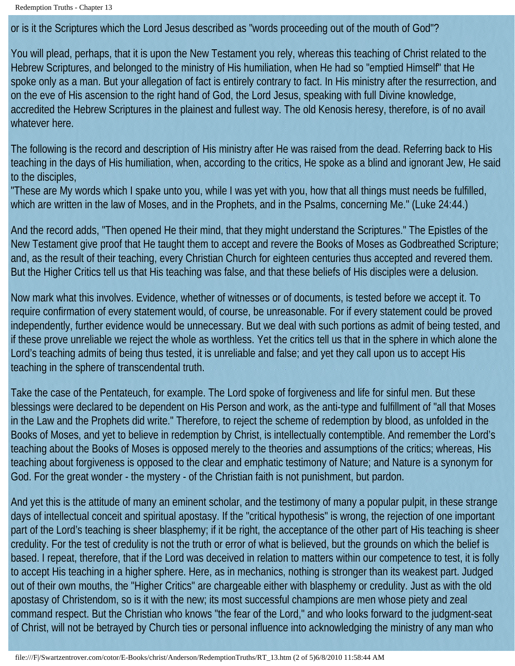or is it the Scriptures which the Lord Jesus described as "words proceeding out of the mouth of God"?

You will plead, perhaps, that it is upon the New Testament you rely, whereas this teaching of Christ related to the Hebrew Scriptures, and belonged to the ministry of His humiliation, when He had so "emptied Himself" that He spoke only as a man. But your allegation of fact is entirely contrary to fact. In His ministry after the resurrection, and on the eve of His ascension to the right hand of God, the Lord Jesus, speaking with full Divine knowledge, accredited the Hebrew Scriptures in the plainest and fullest way. The old Kenosis heresy, therefore, is of no avail whatever here.

The following is the record and description of His ministry after He was raised from the dead. Referring back to His teaching in the days of His humiliation, when, according to the critics, He spoke as a blind and ignorant Jew, He said to the disciples,

"These are My words which I spake unto you, while I was yet with you, how that all things must needs be fulfilled, which are written in the law of Moses, and in the Prophets, and in the Psalms, concerning Me." (Luke 24:44.)

And the record adds, "Then opened He their mind, that they might understand the Scriptures." The Epistles of the New Testament give proof that He taught them to accept and revere the Books of Moses as Godbreathed Scripture; and, as the result of their teaching, every Christian Church for eighteen centuries thus accepted and revered them. But the Higher Critics tell us that His teaching was false, and that these beliefs of His disciples were a delusion.

Now mark what this involves. Evidence, whether of witnesses or of documents, is tested before we accept it. To require confirmation of every statement would, of course, be unreasonable. For if every statement could be proved independently, further evidence would be unnecessary. But we deal with such portions as admit of being tested, and if these prove unreliable we reject the whole as worthless. Yet the critics tell us that in the sphere in which alone the Lord's teaching admits of being thus tested, it is unreliable and false; and yet they call upon us to accept His teaching in the sphere of transcendental truth.

Take the case of the Pentateuch, for example. The Lord spoke of forgiveness and life for sinful men. But these blessings were declared to be dependent on His Person and work, as the anti-type and fulfillment of "all that Moses in the Law and the Prophets did write." Therefore, to reject the scheme of redemption by blood, as unfolded in the Books of Moses, and yet to believe in redemption by Christ, is intellectually contemptible. And remember the Lord's teaching about the Books of Moses is opposed merely to the theories and assumptions of the critics; whereas, His teaching about forgiveness is opposed to the clear and emphatic testimony of Nature; and Nature is a synonym for God. For the great wonder - the mystery - of the Christian faith is not punishment, but pardon.

And yet this is the attitude of many an eminent scholar, and the testimony of many a popular pulpit, in these strange days of intellectual conceit and spiritual apostasy. If the "critical hypothesis" is wrong, the rejection of one important part of the Lord's teaching is sheer blasphemy; if it be right, the acceptance of the other part of His teaching is sheer credulity. For the test of credulity is not the truth or error of what is believed, but the grounds on which the belief is based. I repeat, therefore, that if the Lord was deceived in relation to matters within our competence to test, it is folly to accept His teaching in a higher sphere. Here, as in mechanics, nothing is stronger than its weakest part. Judged out of their own mouths, the "Higher Critics" are chargeable either with blasphemy or credulity. Just as with the old apostasy of Christendom, so is it with the new; its most successful champions are men whose piety and zeal command respect. But the Christian who knows "the fear of the Lord," and who looks forward to the judgment-seat of Christ, will not be betrayed by Church ties or personal influence into acknowledging the ministry of any man who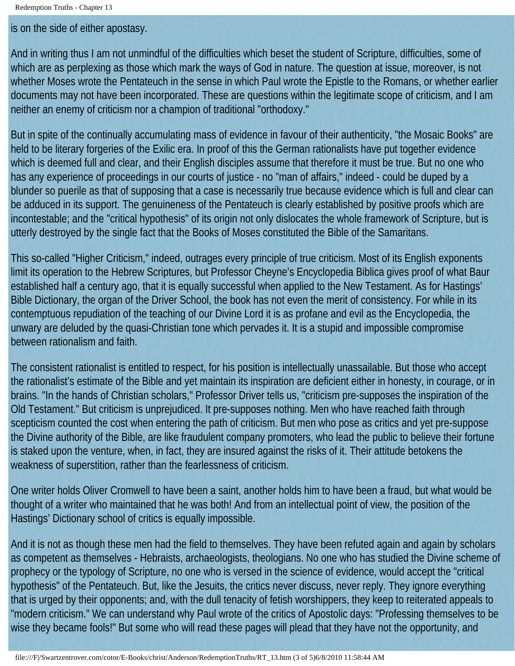is on the side of either apostasy.

And in writing thus I am not unmindful of the difficulties which beset the student of Scripture, difficulties, some of which are as perplexing as those which mark the ways of God in nature. The question at issue, moreover, is not whether Moses wrote the Pentateuch in the sense in which Paul wrote the Epistle to the Romans, or whether earlier documents may not have been incorporated. These are questions within the legitimate scope of criticism, and I am neither an enemy of criticism nor a champion of traditional "orthodoxy."

But in spite of the continually accumulating mass of evidence in favour of their authenticity, "the Mosaic Books" are held to be literary forgeries of the Exilic era. In proof of this the German rationalists have put together evidence which is deemed full and clear, and their English disciples assume that therefore it must be true. But no one who has any experience of proceedings in our courts of justice - no "man of affairs," indeed - could be duped by a blunder so puerile as that of supposing that a case is necessarily true because evidence which is full and clear can be adduced in its support. The genuineness of the Pentateuch is clearly established by positive proofs which are incontestable; and the "critical hypothesis" of its origin not only dislocates the whole framework of Scripture, but is utterly destroyed by the single fact that the Books of Moses constituted the Bible of the Samaritans.

This so-called "Higher Criticism," indeed, outrages every principle of true criticism. Most of its English exponents limit its operation to the Hebrew Scriptures, but Professor Cheyne's Encyclopedia Biblica gives proof of what Baur established half a century ago, that it is equally successful when applied to the New Testament. As for Hastings' Bible Dictionary, the organ of the Driver School, the book has not even the merit of consistency. For while in its contemptuous repudiation of the teaching of our Divine Lord it is as profane and evil as the Encyclopedia, the unwary are deluded by the quasi-Christian tone which pervades it. It is a stupid and impossible compromise between rationalism and faith.

The consistent rationalist is entitled to respect, for his position is intellectually unassailable. But those who accept the rationalist's estimate of the Bible and yet maintain its inspiration are deficient either in honesty, in courage, or in brains. "In the hands of Christian scholars," Professor Driver tells us, "criticism pre-supposes the inspiration of the Old Testament." But criticism is unprejudiced. It pre-supposes nothing. Men who have reached faith through scepticism counted the cost when entering the path of criticism. But men who pose as critics and yet pre-suppose the Divine authority of the Bible, are like fraudulent company promoters, who lead the public to believe their fortune is staked upon the venture, when, in fact, they are insured against the risks of it. Their attitude betokens the weakness of superstition, rather than the fearlessness of criticism.

One writer holds Oliver Cromwell to have been a saint, another holds him to have been a fraud, but what would be thought of a writer who maintained that he was both! And from an intellectual point of view, the position of the Hastings' Dictionary school of critics is equally impossible.

And it is not as though these men had the field to themselves. They have been refuted again and again by scholars as competent as themselves - Hebraists, archaeologists, theologians. No one who has studied the Divine scheme of prophecy or the typology of Scripture, no one who is versed in the science of evidence, would accept the "critical hypothesis" of the Pentateuch. But, like the Jesuits, the critics never discuss, never reply. They ignore everything that is urged by their opponents; and, with the dull tenacity of fetish worshippers, they keep to reiterated appeals to "modern criticism." We can understand why Paul wrote of the critics of Apostolic days: "Professing themselves to be wise they became fools!" But some who will read these pages will plead that they have not the opportunity, and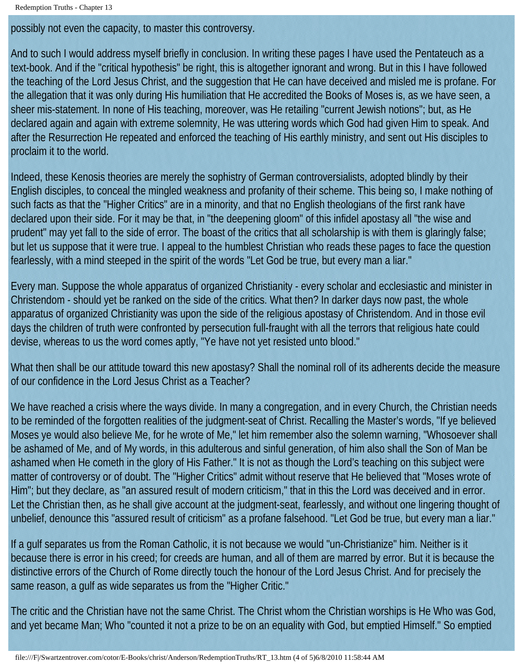possibly not even the capacity, to master this controversy.

And to such I would address myself briefly in conclusion. In writing these pages I have used the Pentateuch as a text-book. And if the "critical hypothesis" be right, this is altogether ignorant and wrong. But in this I have followed the teaching of the Lord Jesus Christ, and the suggestion that He can have deceived and misled me is profane. For the allegation that it was only during His humiliation that He accredited the Books of Moses is, as we have seen, a sheer mis-statement. In none of His teaching, moreover, was He retailing "current Jewish notions"; but, as He declared again and again with extreme solemnity, He was uttering words which God had given Him to speak. And after the Resurrection He repeated and enforced the teaching of His earthly ministry, and sent out His disciples to proclaim it to the world.

Indeed, these Kenosis theories are merely the sophistry of German controversialists, adopted blindly by their English disciples, to conceal the mingled weakness and profanity of their scheme. This being so, I make nothing of such facts as that the "Higher Critics" are in a minority, and that no English theologians of the first rank have declared upon their side. For it may be that, in "the deepening gloom" of this infidel apostasy all "the wise and prudent" may yet fall to the side of error. The boast of the critics that all scholarship is with them is glaringly false; but let us suppose that it were true. I appeal to the humblest Christian who reads these pages to face the question fearlessly, with a mind steeped in the spirit of the words "Let God be true, but every man a liar."

Every man. Suppose the whole apparatus of organized Christianity - every scholar and ecclesiastic and minister in Christendom - should yet be ranked on the side of the critics. What then? In darker days now past, the whole apparatus of organized Christianity was upon the side of the religious apostasy of Christendom. And in those evil days the children of truth were confronted by persecution full-fraught with all the terrors that religious hate could devise, whereas to us the word comes aptly, "Ye have not yet resisted unto blood."

What then shall be our attitude toward this new apostasy? Shall the nominal roll of its adherents decide the measure of our confidence in the Lord Jesus Christ as a Teacher?

We have reached a crisis where the ways divide. In many a congregation, and in every Church, the Christian needs to be reminded of the forgotten realities of the judgment-seat of Christ. Recalling the Master's words, "If ye believed Moses ye would also believe Me, for he wrote of Me," let him remember also the solemn warning, "Whosoever shall be ashamed of Me, and of My words, in this adulterous and sinful generation, of him also shall the Son of Man be ashamed when He cometh in the glory of His Father." It is not as though the Lord's teaching on this subject were matter of controversy or of doubt. The "Higher Critics" admit without reserve that He believed that "Moses wrote of Him"; but they declare, as "an assured result of modern criticism," that in this the Lord was deceived and in error. Let the Christian then, as he shall give account at the judgment-seat, fearlessly, and without one lingering thought of unbelief, denounce this "assured result of criticism" as a profane falsehood. "Let God be true, but every man a liar."

If a gulf separates us from the Roman Catholic, it is not because we would "un-Christianize" him. Neither is it because there is error in his creed; for creeds are human, and all of them are marred by error. But it is because the distinctive errors of the Church of Rome directly touch the honour of the Lord Jesus Christ. And for precisely the same reason, a gulf as wide separates us from the "Higher Critic."

The critic and the Christian have not the same Christ. The Christ whom the Christian worships is He Who was God, and yet became Man; Who "counted it not a prize to be on an equality with God, but emptied Himself." So emptied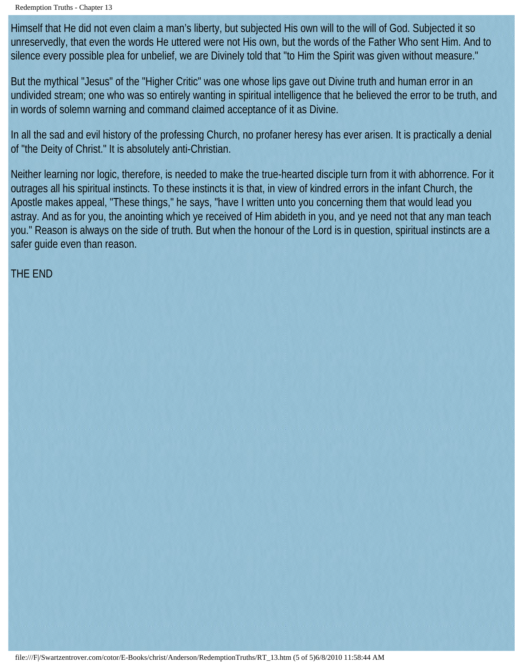Himself that He did not even claim a man's liberty, but subjected His own will to the will of God. Subjected it so unreservedly, that even the words He uttered were not His own, but the words of the Father Who sent Him. And to silence every possible plea for unbelief, we are Divinely told that "to Him the Spirit was given without measure."

But the mythical "Jesus" of the "Higher Critic" was one whose lips gave out Divine truth and human error in an undivided stream; one who was so entirely wanting in spiritual intelligence that he believed the error to be truth, and in words of solemn warning and command claimed acceptance of it as Divine.

In all the sad and evil history of the professing Church, no profaner heresy has ever arisen. It is practically a denial of "the Deity of Christ." It is absolutely anti-Christian.

Neither learning nor logic, therefore, is needed to make the true-hearted disciple turn from it with abhorrence. For it outrages all his spiritual instincts. To these instincts it is that, in view of kindred errors in the infant Church, the Apostle makes appeal, "These things," he says, "have I written unto you concerning them that would lead you astray. And as for you, the anointing which ye received of Him abideth in you, and ye need not that any man teach you." Reason is always on the side of truth. But when the honour of the Lord is in question, spiritual instincts are a safer guide even than reason.

THE END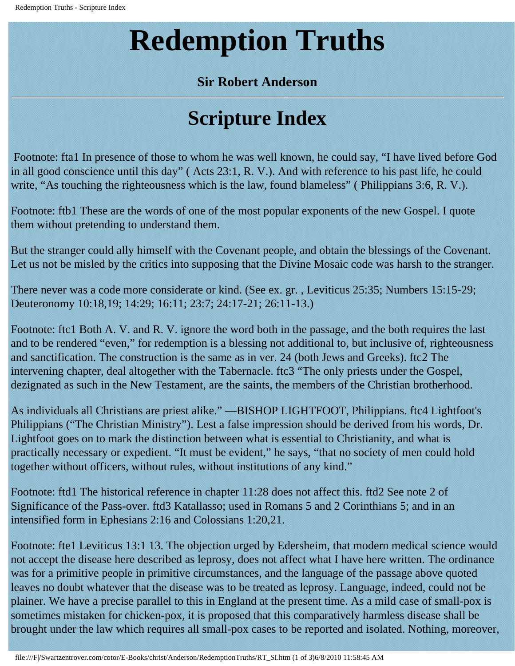### **Sir Robert Anderson**

## **Scripture Index**

<span id="page-53-0"></span> Footnote: fta1 In presence of those to whom he was well known, he could say, "I have lived before God in all good conscience until this day" ( Acts 23:1, R. V.). And with reference to his past life, he could write, "As touching the righteousness which is the law, found blameless" (Philippians 3:6, R. V.).

Footnote: ftb1 These are the words of one of the most popular exponents of the new Gospel. I quote them without pretending to understand them.

But the stranger could ally himself with the Covenant people, and obtain the blessings of the Covenant. Let us not be misled by the critics into supposing that the Divine Mosaic code was harsh to the stranger.

There never was a code more considerate or kind. (See ex. gr. , Leviticus 25:35; Numbers 15:15-29; Deuteronomy 10:18,19; 14:29; 16:11; 23:7; 24:17-21; 26:11-13.)

Footnote: ftc1 Both A. V. and R. V. ignore the word both in the passage, and the both requires the last and to be rendered "even," for redemption is a blessing not additional to, but inclusive of, righteousness and sanctification. The construction is the same as in ver. 24 (both Jews and Greeks). ftc2 The intervening chapter, deal altogether with the Tabernacle. ftc3 "The only priests under the Gospel, dezignated as such in the New Testament, are the saints, the members of the Christian brotherhood.

As individuals all Christians are priest alike." —BISHOP LIGHTFOOT, Philippians. ftc4 Lightfoot's Philippians ("The Christian Ministry"). Lest a false impression should be derived from his words, Dr. Lightfoot goes on to mark the distinction between what is essential to Christianity, and what is practically necessary or expedient. "It must be evident," he says, "that no society of men could hold together without officers, without rules, without institutions of any kind."

Footnote: ftd1 The historical reference in chapter 11:28 does not affect this. ftd2 See note 2 of Significance of the Pass-over. ftd3 Katallasso; used in Romans 5 and 2 Corinthians 5; and in an intensified form in Ephesians 2:16 and Colossians 1:20,21.

Footnote: fte1 Leviticus 13:1 13. The objection urged by Edersheim, that modern medical science would not accept the disease here described as leprosy, does not affect what I have here written. The ordinance was for a primitive people in primitive circumstances, and the language of the passage above quoted leaves no doubt whatever that the disease was to be treated as leprosy. Language, indeed, could not be plainer. We have a precise parallel to this in England at the present time. As a mild case of small-pox is sometimes mistaken for chicken-pox, it is proposed that this comparatively harmless disease shall be brought under the law which requires all small-pox cases to be reported and isolated. Nothing, moreover,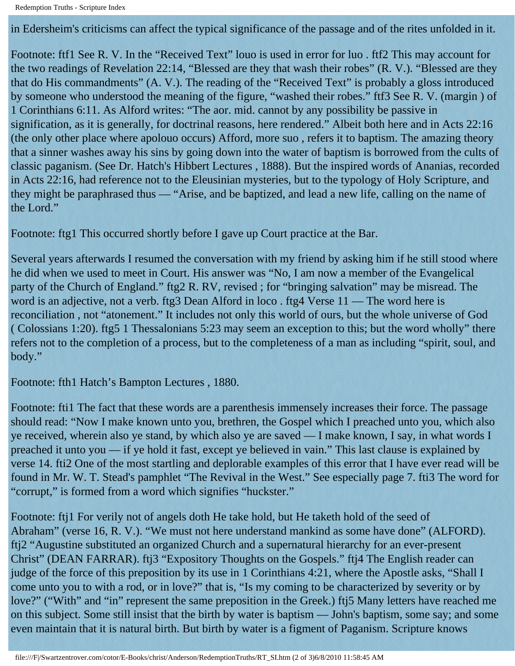in Edersheim's criticisms can affect the typical significance of the passage and of the rites unfolded in it.

Footnote: ftf1 See R. V. In the "Received Text" louo is used in error for luo . ftf2 This may account for the two readings of Revelation 22:14, "Blessed are they that wash their robes" (R. V.). "Blessed are they that do His commandments" (A. V.). The reading of the "Received Text" is probably a gloss introduced by someone who understood the meaning of the figure, "washed their robes." ftf3 See R. V. (margin ) of 1 Corinthians 6:11. As Alford writes: "The aor. mid. cannot by any possibility be passive in signification, as it is generally, for doctrinal reasons, here rendered." Albeit both here and in Acts 22:16 (the only other place where apolouo occurs) Afford, more suo , refers it to baptism. The amazing theory that a sinner washes away his sins by going down into the water of baptism is borrowed from the cults of classic paganism. (See Dr. Hatch's Hibbert Lectures , 1888). But the inspired words of Ananias, recorded in Acts 22:16, had reference not to the Eleusinian mysteries, but to the typology of Holy Scripture, and they might be paraphrased thus — "Arise, and be baptized, and lead a new life, calling on the name of the Lord."

Footnote: ftg1 This occurred shortly before I gave up Court practice at the Bar.

Several years afterwards I resumed the conversation with my friend by asking him if he still stood where he did when we used to meet in Court. His answer was "No, I am now a member of the Evangelical party of the Church of England." ftg2 R. RV, revised ; for "bringing salvation" may be misread. The word is an adjective, not a verb. ftg3 Dean Alford in loco . ftg4 Verse 11 — The word here is reconciliation , not "atonement." It includes not only this world of ours, but the whole universe of God ( Colossians 1:20). ftg5 1 Thessalonians 5:23 may seem an exception to this; but the word wholly" there refers not to the completion of a process, but to the completeness of a man as including "spirit, soul, and body."

Footnote: fth1 Hatch's Bampton Lectures , 1880.

Footnote: fti1 The fact that these words are a parenthesis immensely increases their force. The passage should read: "Now I make known unto you, brethren, the Gospel which I preached unto you, which also ye received, wherein also ye stand, by which also ye are saved — I make known, I say, in what words I preached it unto you — if ye hold it fast, except ye believed in vain." This last clause is explained by verse 14. fti2 One of the most startling and deplorable examples of this error that I have ever read will be found in Mr. W. T. Stead's pamphlet "The Revival in the West." See especially page 7. fti3 The word for "corrupt," is formed from a word which signifies "huckster."

Footnote: ftj1 For verily not of angels doth He take hold, but He taketh hold of the seed of Abraham" (verse 16, R. V.). "We must not here understand mankind as some have done" (ALFORD). ftj2 "Augustine substituted an organized Church and a supernatural hierarchy for an ever-present Christ" (DEAN FARRAR). ftj3 "Expository Thoughts on the Gospels." ftj4 The English reader can judge of the force of this preposition by its use in 1 Corinthians 4:21, where the Apostle asks, "Shall I come unto you to with a rod, or in love?" that is, "Is my coming to be characterized by severity or by love?" ("With" and "in" represent the same preposition in the Greek.) ftj5 Many letters have reached me on this subject. Some still insist that the birth by water is baptism — John's baptism, some say; and some even maintain that it is natural birth. But birth by water is a figment of Paganism. Scripture knows